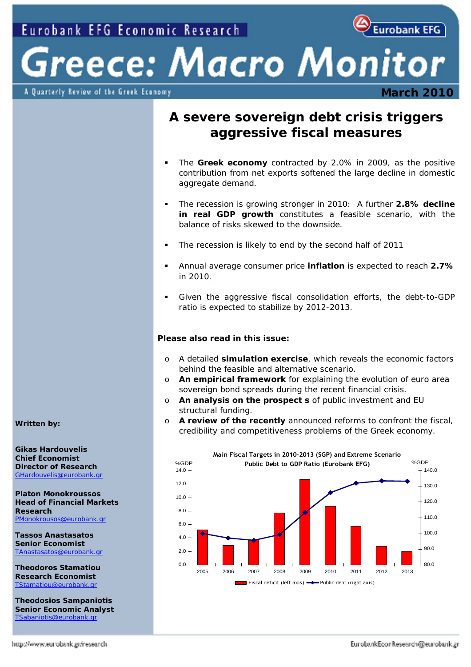Eurobank EFG

Greece: Macro Monitor A Quarterly Review of the Greek Economy

## **March 2010**

## **A severe sovereign debt crisis triggers aggressive fiscal measures**

- The **Greek economy** contracted by 2.0% in 2009, as the positive contribution from net exports softened the large decline in domestic aggregate demand.
- The recession is growing stronger in 2010: A further **2.8% decline in real GDP growth** constitutes a feasible scenario, with the balance of risks skewed to the downside.
- The recession is likely to end by the second half of 2011
- Annual average consumer price **inflation** is expected to reach **2.7%** in 2010.
- Given the aggressive fiscal consolidation efforts, the debt-to-GDP ratio is expected to stabilize by 2012-2013.

#### **Please also read in this issue:**

- o A detailed **simulation exercise**, which reveals the economic factors behind the feasible and alternative scenario.
- o **An empirical framework** for explaining the evolution of euro area sovereign bond spreads during the recent financial crisis.
- o **An analysis on the prospect s** of public investment and EU structural funding.
- o **A review of the recently** announced reforms to confront the fiscal, credibility and competitiveness problems of the Greek economy.



*Written by:* 

**Gikas Hardouvelis Chief Economist Director of Research**  [GHardouvelis@eurobank.gr](mailto:GHardouvelis@eurobank.gr)

**Platon Monokroussos Head of Financial Markets Research**  [PMonokrousos@eurobank.gr](mailto:PMonokrousos@eurobank.gr)

**Tassos Anastasatos Senior Economist**  TAnastasatos@eurobank.gr

**Theodoros Stamatiou Research Economist**  [TStamatiou@eurobank.gr](mailto:TStamatiou@eurobank.gr)

**Theodosios Sampaniotis Senior Economic Analyst**  [TSabaniotis@eurobank.gr](mailto:TSabaniotis@eurobank.gr)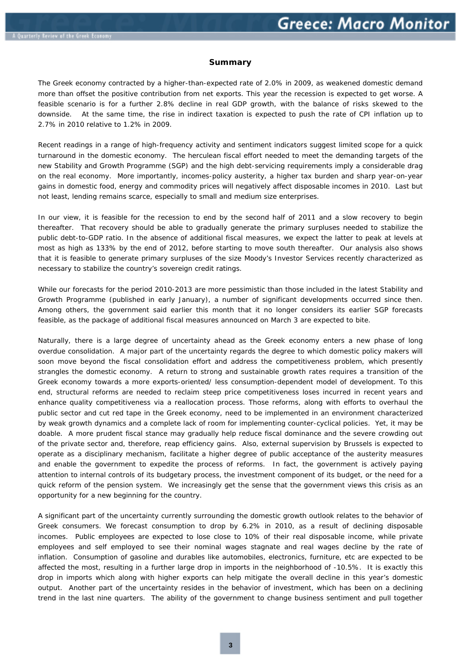#### **Summary**

The Greek economy contracted by a higher-than-expected rate of 2.0% in 2009, as weakened domestic demand more than offset the positive contribution from net exports. This year the recession is expected to get worse. A feasible scenario is for a further 2.8% decline in real GDP growth, with the balance of risks skewed to the downside. At the same time, the rise in indirect taxation is expected to push the rate of CPI inflation up to 2.7% in 2010 relative to 1.2% in 2009.

Recent readings in a range of high-frequency activity and sentiment indicators suggest limited scope for a quick turnaround in the domestic economy. The herculean fiscal effort needed to meet the demanding targets of the new Stability and Growth Programme (SGP) and the high debt-servicing requirements imply a considerable drag on the real economy. More importantly, incomes-policy austerity, a higher tax burden and sharp year-on-year gains in domestic food, energy and commodity prices will negatively affect disposable incomes in 2010. Last but not least, lending remains scarce, especially to small and medium size enterprises.

In our view, it is feasible for the recession to end by the second half of 2011 and a slow recovery to begin thereafter. That recovery should be able to gradually generate the primary surpluses needed to stabilize the public debt-to-GDP ratio. In the absence of additional fiscal measures, we expect the latter to peak at levels at most as high as 133% by the end of 2012, before starting to move south thereafter. Our analysis also shows that it is feasible to generate primary surpluses of the size Moody's Investor Services recently characterized as necessary to stabilize the country's sovereign credit ratings.

While our forecasts for the period 2010-2013 are more pessimistic than those included in the latest Stability and Growth Programme (published in early January), a number of significant developments occurred since then. Among others, the government said earlier this month that it no longer considers its earlier SGP forecasts feasible, as the package of additional fiscal measures announced on March 3 are expected to bite.

Naturally, there is a large degree of uncertainty ahead as the Greek economy enters a new phase of long overdue consolidation. A major part of the uncertainty regards the degree to which domestic policy makers will soon move beyond the fiscal consolidation effort and address the competitiveness problem, which presently strangles the domestic economy. A return to strong and sustainable growth rates requires a transition of the Greek economy towards a more exports-oriented/ less consumption-dependent model of development. To this end, structural reforms are needed to reclaim steep price competitiveness loses incurred in recent years and enhance quality competitiveness via a reallocation process. Those reforms, along with efforts to overhaul the public sector and cut red tape in the Greek economy, need to be implemented in an environment characterized by weak growth dynamics and a complete lack of room for implementing counter-cyclical policies. Yet, it may be doable. A more prudent fiscal stance may gradually help reduce fiscal dominance and the severe crowding out of the private sector and, therefore, reap efficiency gains. Also, external supervision by Brussels is expected to operate as a disciplinary mechanism, facilitate a higher degree of public acceptance of the austerity measures and enable the government to expedite the process of reforms. In fact, the government is actively paying attention to internal controls of its budgetary process, the investment component of its budget, or the need for a quick reform of the pension system. We increasingly get the sense that the government views this crisis as an opportunity for a new beginning for the country.

A significant part of the uncertainty currently surrounding the domestic growth outlook relates to the behavior of Greek consumers. We forecast consumption to drop by 6.2% in 2010, as a result of declining disposable incomes. Public employees are expected to lose close to 10% of their real disposable income, while private employees and self employed to see their nominal wages stagnate and real wages decline by the rate of inflation. Consumption of gasoline and durables like automobiles, electronics, furniture, etc are expected to be affected the most, resulting in a further large drop in imports in the neighborhood of -10.5%. It is exactly this drop in imports which along with higher exports can help mitigate the overall decline in this year's domestic output. Another part of the uncertainty resides in the behavior of investment, which has been on a declining trend in the last nine quarters. The ability of the government to change business sentiment and pull together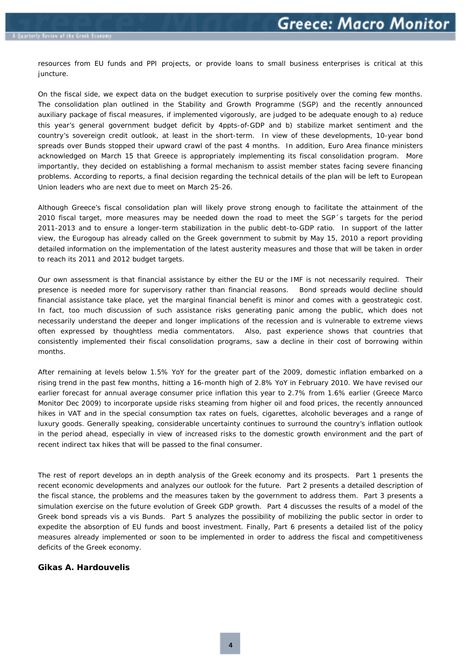resources from EU funds and PPI projects, or provide loans to small business enterprises is critical at this juncture.

On the fiscal side, we expect data on the budget execution to surprise positively over the coming few months. The consolidation plan outlined in the Stability and Growth Programme (SGP) and the recently announced auxiliary package of fiscal measures, if implemented vigorously, are judged to be adequate enough to a) reduce this year's general government budget deficit by 4ppts-of-GDP and b) stabilize market sentiment and the country's sovereign credit outlook, at least in the short-term. In view of these developments, 10-year bond spreads over Bunds stopped their upward crawl of the past 4 months. In addition, Euro Area finance ministers acknowledged on March 15 that Greece is appropriately implementing its fiscal consolidation program. More importantly, they decided on establishing a formal mechanism to assist member states facing severe financing problems. According to reports, a final decision regarding the technical details of the plan will be left to European Union leaders who are next due to meet on March 25-26.

Although Greece's fiscal consolidation plan will likely prove strong enough to facilitate the attainment of the 2010 fiscal target, more measures may be needed down the road to meet the SGP´s targets for the period 2011-2013 and to ensure a longer-term stabilization in the public debt-to-GDP ratio. In support of the latter view, the Eurogoup has already called on the Greek government to submit by May 15, 2010 a report providing detailed information on the implementation of the latest austerity measures and those that *will be taken* in order to reach its 2011 and 2012 budget targets.

Our own assessment is that financial assistance by either the EU or the IMF is not necessarily required. Their presence is needed more for supervisory rather than financial reasons. Bond spreads would decline should financial assistance take place, yet the marginal financial benefit is minor and comes with a geostrategic cost. In fact, too much discussion of such assistance risks generating panic among the public, which does not necessarily understand the deeper and longer implications of the recession and is vulnerable to extreme views often expressed by thoughtless media commentators. Also, past experience shows that countries that consistently implemented their fiscal consolidation programs, saw a decline in their cost of borrowing within months.

After remaining at levels below 1.5% YoY for the greater part of the 2009, domestic inflation embarked on a rising trend in the past few months, hitting a 16-month high of 2.8% YoY in February 2010. We have revised our earlier forecast for annual average consumer price inflation this year to 2.7% from 1.6% earlier (Greece Marco Monitor Dec 2009) to incorporate upside risks steaming from higher oil and food prices, the recently announced hikes in VAT and in the special consumption tax rates on fuels, cigarettes, alcoholic beverages and a range of luxury goods. Generally speaking, considerable uncertainty continues to surround the country's inflation outlook in the period ahead, especially in view of increased risks to the domestic growth environment and the part of recent indirect tax hikes that will be passed to the final consumer.

The rest of report develops an in depth analysis of the Greek economy and its prospects. Part 1 presents the recent economic developments and analyzes our outlook for the future. Part 2 presents a detailed description of the fiscal stance, the problems and the measures taken by the government to address them. Part 3 presents a simulation exercise on the future evolution of Greek GDP growth. Part 4 discusses the results of a model of the Greek bond spreads vis a vis Bunds. Part 5 analyzes the possibility of mobilizing the public sector in order to expedite the absorption of EU funds and boost investment. Finally, Part 6 presents a detailed list of the policy measures already implemented or soon to be implemented in order to address the fiscal and competitiveness deficits of the Greek economy.

#### **Gikas A. Hardouvelis**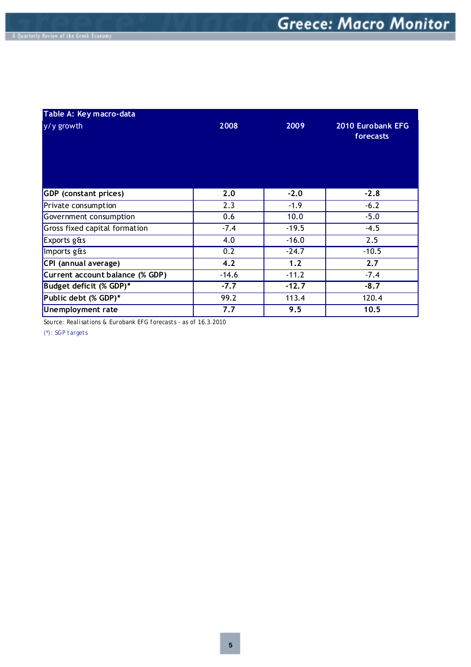| Table A: Key macro-data         |         |         |                                |
|---------------------------------|---------|---------|--------------------------------|
| y/y growth                      | 2008    | 2009    | 2010 Eurobank EFG<br>forecasts |
| <b>GDP</b> (constant prices)    | 2.0     | $-2.0$  | $-2.8$                         |
| Private consumption             | 2.3     | $-1.9$  | $-6.2$                         |
| Government consumption          | 0.6     | 10.0    | $-5.0$                         |
| Gross fixed capital formation   | $-7.4$  | $-19.5$ | $-4.5$                         |
| Exports g&s                     | 4.0     | $-16.0$ | 2.5                            |
| Imports g&s                     | 0.2     | $-24.7$ | $-10.5$                        |
| CPI (annual average)            | 4.2     | 1.2     | 2.7                            |
| Current account balance (% GDP) | $-14.6$ | $-11.2$ | $-7.4$                         |
| Budget deficit (% GDP)*         | $-7.7$  | $-12.7$ | $-8.7$                         |
| Public debt (% GDP)*            | 99.2    | 113.4   | 120.4                          |
| Unemployment rate               | 7.7     | 9.5     | 10.5                           |

*Source: Realisations & Eurobank EFG forecasts - as of 16.3.2010*

*(\*): SGP targets*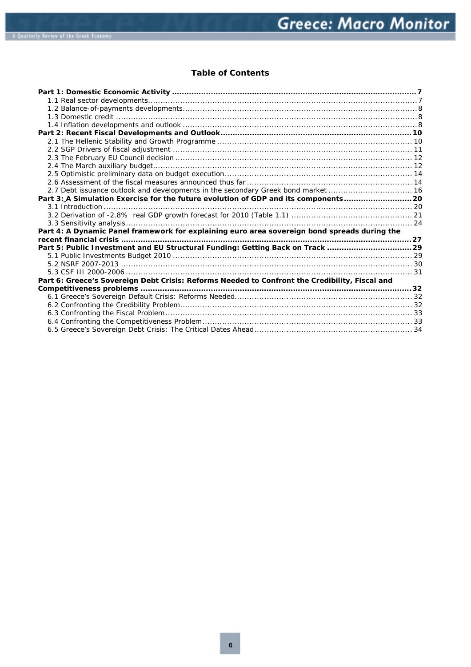### **Table of Contents**

| 2.7 Debt issuance outlook and developments in the secondary Greek bond market  16              |  |
|------------------------------------------------------------------------------------------------|--|
| Part 3:_A Simulation Exercise for the future evolution of GDP and its components 20            |  |
|                                                                                                |  |
|                                                                                                |  |
|                                                                                                |  |
| Part 4: A Dynamic Panel framework for explaining euro area sovereign bond spreads during the   |  |
|                                                                                                |  |
| Part 5: Public Investment and EU Structural Funding: Getting Back on Track 29                  |  |
|                                                                                                |  |
|                                                                                                |  |
|                                                                                                |  |
| Part 6: Greece's Sovereign Debt Crisis: Reforms Needed to Confront the Credibility, Fiscal and |  |
|                                                                                                |  |
|                                                                                                |  |
|                                                                                                |  |
|                                                                                                |  |
|                                                                                                |  |
|                                                                                                |  |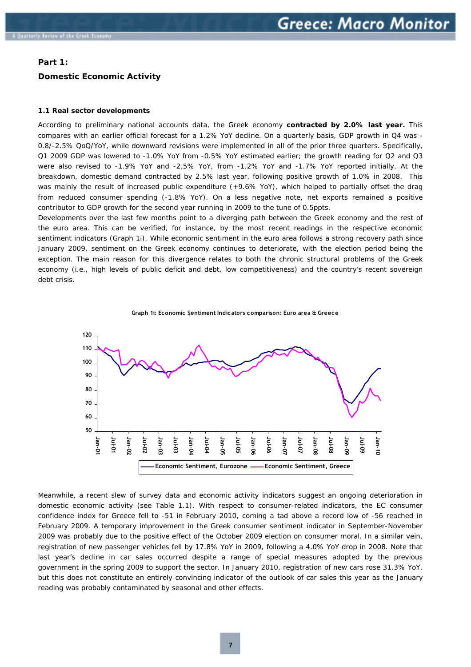#### <span id="page-5-0"></span>**Part 1:**

#### **Domestic Economic Activity**

#### **1.1 Real sector developments**

According to preliminary national accounts data, the Greek economy **contracted by 2.0% last year.** This compares with an earlier official forecast for a 1.2% YoY decline. On a quarterly basis, GDP growth in Q4 was - 0.8/-2.5% QoQ/YoY, while downward revisions were implemented in all of the prior three quarters. Specifically, Q1 2009 GDP was lowered to -1.0% YoY from -0.5% YoY estimated earlier; the growth reading for Q2 and Q3 were also revised to -1.9% YoY and -2.5% YoY, from -1.2% YoY and -1.7% YoY reported initially. At the breakdown, domestic demand contracted by 2.5% last year, following positive growth of 1.0% in 2008. This was mainly the result of increased public expenditure (+9.6% YoY), which helped to partially offset the drag from reduced consumer spending (-1.8% YoY). On a less negative note, net exports remained a positive contributor to GDP growth for the second year running in 2009 to the tune of 0.5ppts.

Developments over the last few months point to a diverging path between the Greek economy and the rest of the euro area. This can be verified, for instance, by the most recent readings in the respective economic sentiment indicators (*Graph 1i*). While economic sentiment in the euro area follows a strong recovery path since January 2009, sentiment on the Greek economy continues to deteriorate, with the election period being the exception. The main reason for this divergence relates to both the chronic structural problems of the Greek economy *(i.e., high levels of public deficit and debt, low competitiveness)* and the country's recent sovereign debt crisis.



**Graph 1i: Economic Sentiment Indicators comparison: Euro area & Greece**

Meanwhile, a recent slew of survey data and economic activity indicators suggest an ongoing deterioration in domestic economic activity *(see Table 1.1).* With respect to consumer-related indicators, the EC consumer confidence index for Greece fell to -51 in February 2010, coming a tad above a record low of -56 reached in February 2009. A temporary improvement in the Greek consumer sentiment indicator in September-November 2009 was probably due to the positive effect of the October 2009 election on consumer moral. In a similar vein, registration of new passenger vehicles fell by 17.8% YoY in 2009, following a 4.0% YoY drop in 2008. Note that last year's decline in car sales occurred despite a range of special measures adopted by the previous government in the spring 2009 to support the sector. In January 2010, registration of new cars rose 31.3% YoY, but this does not constitute an entirely convincing indicator of the outlook of car sales this year as the January reading was probably contaminated by seasonal and other effects.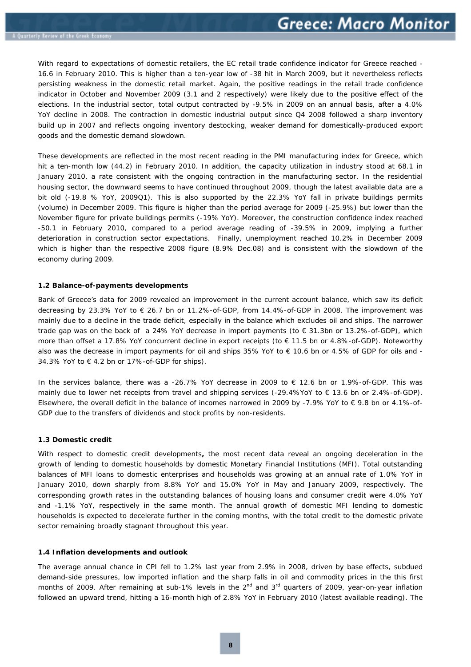<span id="page-6-0"></span>With regard to expectations of domestic retailers, the EC retail trade confidence indicator for Greece reached - 16.6 in February 2010. This is higher than a ten-year low of -38 hit in March 2009, but it nevertheless reflects persisting weakness in the domestic retail market. Again, the positive readings in the retail trade confidence indicator in October and November 2009 (3.1 and 2 respectively) were likely due to the positive effect of the elections. In the industrial sector, total output contracted by -9.5% in 2009 on an annual basis, after a 4.0% YoY decline in 2008. The contraction in domestic industrial output since Q4 2008 followed a sharp inventory build up in 2007 and reflects ongoing inventory destocking, weaker demand for domestically-produced export goods and the domestic demand slowdown.

These developments are reflected in the most recent reading in the PMI manufacturing index for Greece, which hit a ten-month low (44.2) in February 2010. In addition, the capacity utilization in industry stood at 68.1 in January 2010, a rate consistent with the ongoing contraction in the manufacturing sector. In the residential housing sector, the downward seems to have continued throughout 2009, though the latest available data are a bit old (-19.8 % YoY, 2009Q1). This is also supported by the 22.3% YoY fall in private buildings permits (volume) in December 2009. This figure is higher than the period average for 2009 (-25.9%) but lower than the November figure for private buildings permits (-19% YoY). Moreover, the construction confidence index reached -50.1 in February 2010, compared to a period average reading of -39.5% in 2009, implying a further deterioration in construction sector expectations. Finally, unemployment reached 10.2% in December 2009 which is higher than the respective 2008 figure (8.9% Dec.08) and is consistent with the slowdown of the economy during 2009.

#### **1.2 Balance-of-payments developments**

Bank of Greece's data for 2009 revealed an improvement in the current account balance, which saw its deficit decreasing by 23.3% YoY to € 26.7 bn or 11.2%-of-GDP, from 14.4%-of-GDP in 2008. The improvement was mainly due to a decline in the trade deficit, especially in the balance which excludes oil and ships. The narrower trade gap was on the back of a 24% YoY decrease in import payments (to € 31.3bn or 13.2%-of-GDP), which more than offset a 17.8% YoY concurrent decline in export receipts (to € 11.5 bn or 4.8%-of-GDP). Noteworthy also was the decrease in import payments for oil and ships 35% YoY to € 10.6 bn or 4.5% of GDP for oils and - 34.3% YoY to  $\in$  4.2 bn or 17%-of-GDP for ships).

In the services balance, there was a -26.7% YoY decrease in 2009 to € 12.6 bn or 1.9%-of-GDP. This was mainly due to lower net receipts from travel and shipping services (-29.4%YoY to € 13.6 bn or 2.4%-of-GDP). Elsewhere, the overall deficit in the balance of incomes narrowed in 2009 by -7.9% YoY to € 9.8 bn or 4.1%-of-GDP due to the transfers of dividends and stock profits by non-residents.

#### **1.3 Domestic credit**

With respect to domestic credit developments**,** the most recent data reveal an ongoing deceleration in the growth of lending to domestic households by domestic Monetary Financial Institutions *(MFI).* Total outstanding balances of MFI loans to domestic enterprises and households was growing at an annual rate of 1.0% YoY in January 2010, down sharply from 8.8% YoY and 15.0% YoY in May and January 2009, respectively. The corresponding growth rates in the outstanding balances of housing loans and consumer credit were 4.0% YoY and -1.1% YoY, respectively in the same month. The annual growth of domestic MFI lending to domestic households is expected to decelerate further in the coming months, with the total credit to the domestic private sector remaining broadly stagnant throughout this year.

#### **1.4 Inflation developments and outlook**

The average annual chance in CPI fell to 1.2% last year from 2.9% in 2008, driven by base effects, subdued demand-side pressures, low imported inflation and the sharp falls in oil and commodity prices in the this first months of 2009. After remaining at sub-1% levels in the  $2^{nd}$  and  $3^{rd}$  quarters of 2009, year-on-year inflation followed an upward trend, hitting a 16-month high of 2.8% YoY in February 2010 (latest available reading). The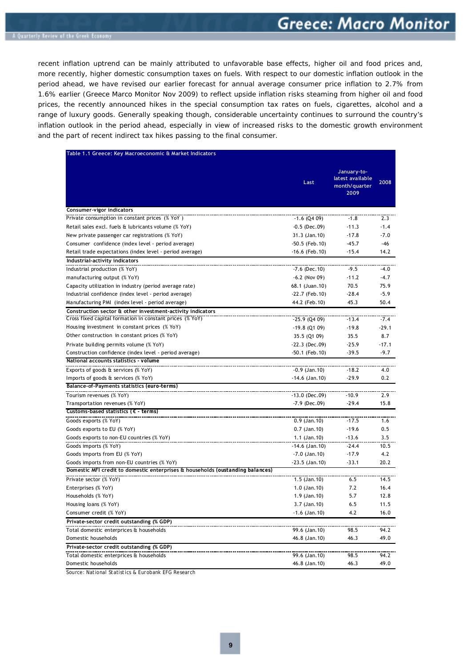recent inflation uptrend can be mainly attributed to unfavorable base effects, higher oil and food prices and, more recently, higher domestic consumption taxes on fuels. With respect to our domestic inflation outlook in the period ahead, we have revised our earlier forecast for annual average consumer price inflation to 2.7% from 1.6% earlier *(Greece Marco Monitor Nov 2009)* to reflect upside inflation risks steaming from higher oil and food prices, the recently announced hikes in the special consumption tax rates on fuels, cigarettes, alcohol and a range of luxury goods. Generally speaking though, considerable uncertainty continues to surround the country's inflation outlook in the period ahead, especially in view of increased risks to the domestic growth environment and the part of recent indirect tax hikes passing to the final consumer.

|                                                                                | Last              | January-to-<br>latest available<br>month/quarter<br>2009 | 2008    |
|--------------------------------------------------------------------------------|-------------------|----------------------------------------------------------|---------|
| Consumer-vigor indicators                                                      |                   |                                                          |         |
| Private consumption in constant prices (% YoY)                                 | $-1.6$ (Q4 09)    | $-1.8$                                                   | 2.3     |
| Retail sales excl. fuels & lubricants volume (% YoY)                           | $-0.5$ (Dec.09)   | $-11.3$                                                  | $-1.4$  |
| New private passenger car registrations (% YoY)                                | 31.3 (Jan. 10)    | $-17.8$                                                  | $-7.0$  |
| Consumer confidence (index level - period average)                             | $-50.5$ (Feb. 10) | $-45.7$                                                  | -46     |
| Retail trade expectations (index level - period average)                       | $-16.6$ (Feb. 10) | $-15.4$                                                  | 14.2    |
| Industrial-activity indicators                                                 |                   |                                                          |         |
| Industrial production (% YoY)                                                  | $-7.6$ (Dec. 10)  | $-9.5$                                                   | $-4.0$  |
| manufacturing output (% YoY)                                                   | $-6.2$ (Nov 09)   | $-11.2$                                                  | $-4.7$  |
| Capacity utilization in industry (period average rate)                         | 68.1 (Juan.10)    | 70.5                                                     | 75.9    |
| Industrial confidence (index level - period average)                           | $-22.7$ (Feb. 10) | $-28.4$                                                  | $-5.9$  |
| Manufacturing PMI (index level - period average)                               | 44.2 (Feb. 10)    | 45.3                                                     | 50.4    |
| Construction sector & other investment-activity indicators                     |                   |                                                          |         |
| Cross fixed capital formation in constant prices (% YoY)                       | $-25.9$ (Q4 09)   | $-13.4$                                                  | $-7.4$  |
| Housing investment in constant prices (% YoY)                                  | $-19.8$ (Q1 09)   | $-19.8$                                                  | $-29.1$ |
| Other construction in constant prices (% YoY)                                  | 35.5 (Q1 09)      | 35.5                                                     | 8.7     |
| Private building permits volume (% YoY)                                        | $-22.3$ (Dec.09)  | $-25.9$                                                  | $-17.1$ |
| Construction confidence (index level - period average)                         | -50.1 (Feb.10)    | $-39.5$                                                  | $-9.7$  |
| National accounts statistics - volume                                          |                   |                                                          |         |
| Exports of goods & services (% YoY)                                            | $-0.9$ (Jan. 10)  | $-18.2$                                                  | 4.0     |
| Imports of goods & services (% YoY)                                            | $-14.6$ (Jan. 10) | $-29.9$                                                  | 0.2     |
| Balance-of-Payments statistics (euro-terms)                                    |                   |                                                          |         |
| Tourism revenues (% YoY)                                                       | $-13.0$ (Dec.09)  | $-10.9$                                                  | 2.9     |
| Transportation revenues (% YoY)                                                | $-7.9$ (Dec.09)   | $-29.4$                                                  | 15.8    |
| Customs-based statistics ( $\epsilon$ - terms)                                 |                   |                                                          |         |
| Goods exports (% YoY)                                                          | $0.9$ (Jan. 10)   | $-17.5$                                                  | 1.6     |
| Goods exports to EU (% YoY)                                                    | $0.7$ (Jan. 10)   | $-19.6$                                                  | 0.5     |
| Goods exports to non-EU countries (% YoY)                                      | $1.1$ (Jan. 10)   | $-13.6$                                                  | 3.5     |
| Goods imports (% YoY)                                                          | $-14.6$ (Jan. 10) | $-24.4$                                                  | 10.5    |
| Goods imports from EU (% YoY)                                                  | $-7.0$ (Jan. 10)  | $-17.9$                                                  | 4.2     |
| Goods imports from non-EU countries (% YoY)                                    | $-23.5$ (Jan. 10) | $-33.1$                                                  | 20.2    |
| Domestic MFI credit to domestic enterprises & households (oustanding balances) |                   |                                                          |         |
| Private sector (% YoY)                                                         | $1.5$ (Jan. 10)   | 6.5                                                      | 14.5    |
| Enterprises (% YoY)                                                            | $1.0$ (Jan. 10)   | 7.2                                                      | 16.4    |
| Households (% YoY)                                                             | 1.9 (Jan. 10)     | 5.7                                                      | 12.8    |
| Housing loans (% YoY)                                                          | 3.7 (Jan. 10)     | 6.5                                                      | 11.5    |
| Consumer credit (% YoY)                                                        | $-1.6$ (Jan. 10)  | 4.2                                                      | 16.0    |
| Private-sector credit outstanding (% GDP)                                      |                   |                                                          |         |
| Total domestic enterprices & households                                        | 99.6 (Jan. 10)    | 98.5                                                     | 94.2    |
| Domestic households                                                            | 46.8 (Jan. 10)    | 46.3                                                     | 49.0    |
| Private-sector credit outstanding (% GDP)                                      |                   |                                                          |         |
| Total domestic enterprices & households                                        | 99.6 (Jan. 10)    | 98.5                                                     | 94.2    |
| Domestic households                                                            | 46.8 (Jan. 10)    | 46.3                                                     | 49.0    |

*Source: National Statistics & Eurobank EFG Research*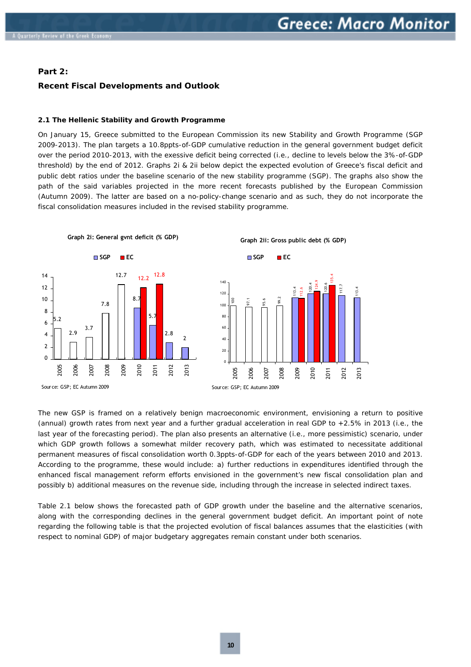#### <span id="page-8-0"></span>**Part 2:**

#### **Recent Fiscal Developments and Outlook**

#### **2.1 The Hellenic Stability and Growth Programme**

On January 15, Greece submitted to the European Commission its new Stability and Growth Programme *(SGP 2009-2013).* The plan targets a 10.8ppts-of-GDP cumulative reduction in the general government budget deficit over the period 2010-2013, with the exessive deficit being corrected (*i.e., decline to levels below the 3%-of-GDP threshold)* by the end of 2012. Graphs 2i & 2ii below depict the expected evolution of Greece's fiscal deficit and public debt ratios under the baseline scenario of the new stability programme (SGP). The graphs also show the path of the said variables projected in the more recent forecasts published by the European Commission *(Autumn 2009).* The latter are based on a *no-policy-change* scenario and as such, they do not incorporate the fiscal consolidation measures included in the revised stability programme.



The new GSP is framed on a relatively benign macroeconomic environment, envisioning a return to positive *(annual)* growth rates from next year and a further gradual acceleration in real GDP to +2.5% in 2013 *(i.e., the last year of the forecasting period).* The plan also presents an alternative *(i.e., more pessimistic)* scenario, under which GDP growth follows a somewhat milder recovery path, which was estimated to necessitate additional permanent measures of fiscal consolidation worth 0.3ppts-of-GDP for each of the years between 2010 and 2013. According to the programme, these would include: a) further reductions in expenditures identified through the enhanced fiscal management reform efforts envisioned in the government's new fiscal consolidation plan and possibly b) additional measures on the revenue side, including through the increase in selected indirect taxes.

Table 2.1 below shows the forecasted path of GDP growth under the baseline and the alternative scenarios, along with the corresponding declines in the general government budget deficit. An important point of note regarding the following table is that the projected evolution of fiscal balances assumes that the elasticities *(with respect to nominal GDP)* of major budgetary aggregates remain constant under both scenarios.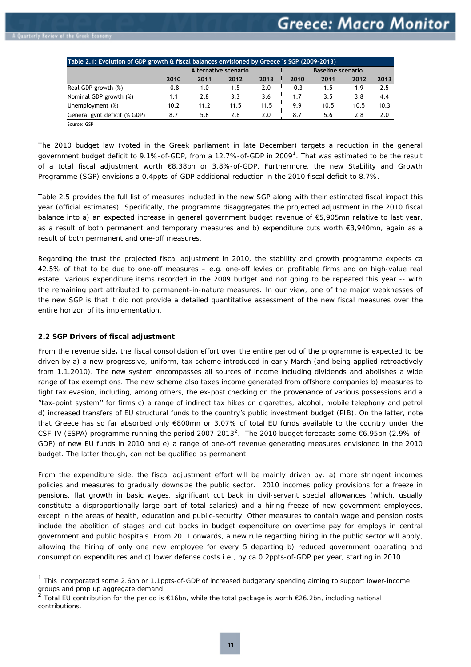<span id="page-9-0"></span>

| Table 2.1: Evolution of GDP growth & fiscal balances envisioned by Greece's SGP (2009-2013) |                      |      |      |      |        |                          |      |      |
|---------------------------------------------------------------------------------------------|----------------------|------|------|------|--------|--------------------------|------|------|
|                                                                                             | Alternative scenario |      |      |      |        | <b>Baseline scenario</b> |      |      |
|                                                                                             | 2010                 | 2011 | 2012 | 2013 | 2010   | 2011                     | 2012 | 2013 |
| Real GDP growth (%)                                                                         | $-0.8$               | 1.0  | 1.5  | 2.0  | $-0.3$ | 1.5                      | 1.9  | 2.5  |
| Nominal GDP growth (%)                                                                      | 1.1                  | 2.8  | 3.3  | 3.6  | 1.7    | 3.5                      | 3.8  | 4.4  |
| Unemployment (%)                                                                            | 10.2                 | 11.2 | 11.5 | 11.5 | 9.9    | 10.5                     | 10.5 | 10.3 |
| General gynt deficit (% GDP)                                                                | 8.7                  | 5.6  | 2.8  | 2.0  | 8.7    | 5.6                      | 2.8  | 2.0  |

Source: GSP

The 2010 budget law (voted in the Greek parliament in late December) targets a reduction in the general government budget deficit to 9.[1](#page-9-1)%-of-GDP, from a 12.7%-of-GDP in 2009<sup>1</sup>. That was estimated to be the result of a total fiscal adjustment worth €8.38bn or 3.8%-of-GDP. Furthermore, the new Stability and Growth Programme (SGP) envisions a 0.4ppts-of-GDP additional reduction in the 2010 fiscal deficit to 8.7%.

Table 2.5 provides the full list of measures included in the new SGP along with their estimated fiscal impact this year (official estimates). Specifically, the programme disaggregates the projected adjustment in the 2010 fiscal balance into a) an expected increase in general government budget revenue of €5,905mn relative to last year, as a result of both permanent and temporary measures and b) expenditure cuts worth €3,940mn, again as a result of both permanent and one-off measures.

Regarding the trust the projected fiscal adjustment in 2010, the stability and growth programme expects ca 42.5% of that to be due to one-off measures *– e.g. one-off levies on profitable firms and on high-value real estate; various expenditure items recorded in the 2009 budget and not going to be repeated this year --* with the remaining part attributed to permanent-in-nature measures. *In our view, one of the major weaknesses of the new SGP is that it did not provide a detailed quantitative assessment of the new fiscal measures over the entire horizon of its implementation.*

#### **2.2 SGP Drivers of fiscal adjustment**

-

From the revenue side**,** the fiscal consolidation effort over the entire period of the programme is expected to be driven by a) a new progressive, uniform, tax scheme introduced in early March *(and being applied retroactively from 1.1.2010).* The new system encompasses all sources of income including dividends and abolishes a wide range of tax exemptions. The new scheme also taxes income generated from offshore companies b) measures to fight tax evasion, including, among others, the ex-post checking on the provenance of various possessions and a ''tax-point system'' for firms c) a range of indirect tax hikes on cigarettes, alcohol, mobile telephony and petrol d) increased transfers of EU structural funds to the country's public investment budget (PIB). On the latter, note that Greece has so far absorbed only €800mn or 3.07% of total EU funds available to the country under the CSF-IV (ESPA) programme running the period [2](#page-9-2)007-2013<sup>2</sup>. The 2010 budget forecasts some  $\epsilon$ 6.95bn (2.9%-of-GDP) of new EU funds in 2010 and e) a range of one-off revenue generating measures envisioned in the 2010 budget. The latter though, can not be qualified as permanent.

From the expenditure side, the fiscal adjustment effort will be mainly driven by: a) more stringent incomes policies and measures to gradually downsize the public sector. 2010 incomes policy provisions for a freeze in pensions, flat growth in basic wages, significant cut back in civil-servant special allowances *(which, usually constitute a disproportionally large part of total salaries)* and a hiring freeze of new government employees, except in the areas of health, education and public-securit*y.* Other measures to contain wage and pension costs include the abolition of stages and cut backs in budget expenditure on overtime pay for employs in central government and public hospitals. From 2011 onwards, a new rule regarding hiring in the public sector will apply, allowing the hiring of only one new employee for every 5 departing b) reduced government operating and consumption expenditures and c) lower defense costs *i.e.,* by ca 0.2ppts-of-GDP per year, starting in 2010.

<span id="page-9-1"></span> $1$  This incorporated some 2.6bn or 1.1ppts-of-GDP of increased budgetary spending aiming to support lower-income groups and prop up aggregate demand.

<span id="page-9-2"></span>Total EU contribution for the period is €16bn, while the total package is worth €26.2bn, including national contributions.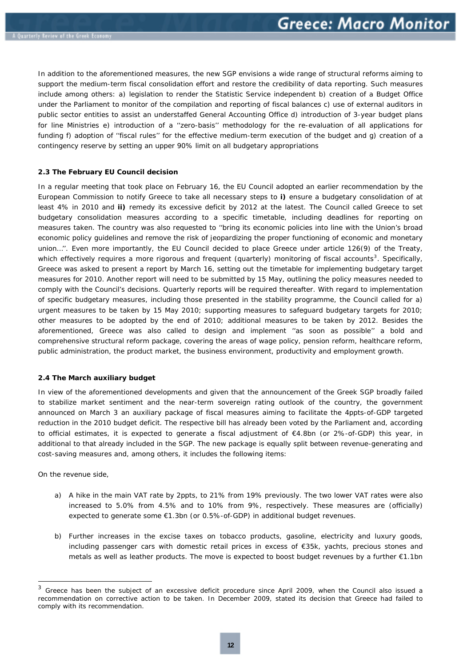<span id="page-10-0"></span>In addition to the aforementioned measures, the new SGP envisions a wide range of structural reforms aiming to support the medium-term fiscal consolidation effort and restore the credibility of data reporting. Such measures include among others: a) legislation to render the Statistic Service independent b) creation of a Budget Office under the Parliament to monitor of the compilation and reporting of fiscal balances c) use of external auditors in public sector entities to assist an understaffed General Accounting Office d) introduction of 3-year budget plans for line Ministries e) introduction of a ''zero-basis'' methodology for the re-evaluation of all applications for funding f) adoption of ''fiscal rules'' for the effective medium-term execution of the budget and g) creation of a contingency reserve by setting an upper 90% limit on all budgetary appropriations

#### **2.3 The February EU Council decision**

In a regular meeting that took place on February 16, the EU Council adopted an earlier recommendation by the European Commission to notify Greece to take all necessary steps to **i)** ensure a budgetary consolidation of at least 4% in 2010 and **ii)** remedy its excessive deficit by 2012 at the latest. The Council called Greece to set budgetary consolidation measures according to a specific timetable, including deadlines for reporting on measures taken. The country was also requested to ''bring its economic policies into line with the Union's broad economic policy guidelines and remove the risk of jeopardizing the proper functioning of economic and monetary union…''. Even more importantly, the EU Council decided to place Greece under article 126(9) of the Treaty, which effectively requires a more rigorous and frequent (quarterly) monitoring of fiscal accounts<sup>[3](#page-10-1)</sup>. Specifically, Greece was asked to present a report by March 16, setting out the timetable for implementing budgetary target measures for 2010. Another report will need to be submitted by 15 May, outlining the policy measures needed to comply with the Council's decisions. Quarterly reports will be required thereafter. With regard to implementation of specific budgetary measures, including those presented in the stability programme, the Council called for a) urgent measures to be taken by 15 May 2010; supporting measures to safeguard budgetary targets for 2010; other measures to be adopted by the end of 2010; additional measures to be taken by 2012. Besides the aforementioned, Greece was also called to design and implement ''as soon as possible'' a bold and comprehensive structural reform package, covering the areas of wage policy, pension reform, healthcare reform, public administration, the product market, the business environment, productivity and employment growth.

#### **2.4 The March auxiliary budget**

In view of the aforementioned developments and given that the announcement of the Greek SGP broadly failed to stabilize market sentiment and the near-term sovereign rating outlook of the country, the government announced on March 3 an auxiliary package of fiscal measures aiming to facilitate the 4ppts-of-GDP targeted reduction in the 2010 budget deficit. The respective bill has already been voted by the Parliament and, according to official estimates, it is expected to generate a fiscal adjustment of €4.8bn (or 2%-of-GDP) this year, in additional to that already included in the SGP. The new package is equally split between revenue-generating and cost-saving measures and, among others, it includes the following items:

On the revenue side,

ł

- a) A hike in the main VAT rate by 2ppts, to 21% from 19% previously. The two lower VAT rates were also increased to 5.0% from 4.5% and to 10% from 9%, respectively. These measures are (officially) expected to generate some €1.3bn (or 0.5%-of-GDP) in additional budget revenues.
- b) Further increases in the excise taxes on tobacco products, gasoline, electricity and luxury goods*,*  including passenger cars with domestic retail prices in excess of €35k, yachts, precious stones and metals as well as leather products. The move is expected to boost budget revenues by a further €1.1bn

<span id="page-10-1"></span><sup>&</sup>lt;sup>3</sup> Greece has been the subject of an excessive deficit procedure since April 2009, when the Council also issued a recommendation on corrective action to be taken. In December 2009, stated its decision that Greece had failed to comply with its recommendation.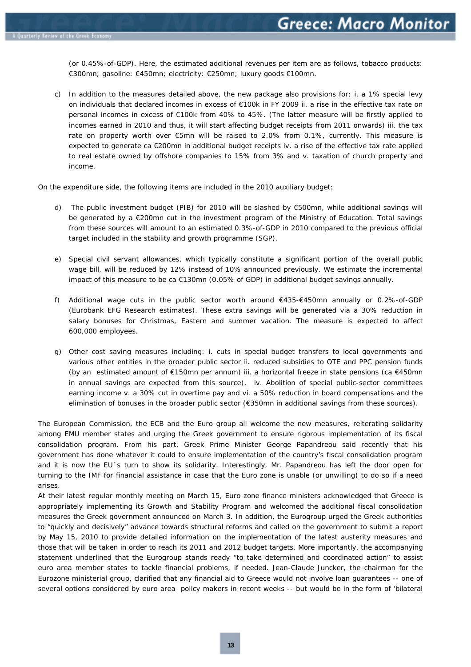(or 0.45%-of-GDP). Here, the estimated additional revenues per item are as follows, tobacco products: €300mn; gasoline: €450mn; electricity: €250mn; luxury goods €100mn.

c) In addition to the measures detailed above, the new package also provisions for: i. a 1% special levy on individuals that declared incomes in excess of €100k in FY 2009 ii. a rise in the effective tax rate on personal incomes in excess of €100k from 40% to 45%. *(The latter measure will be firstly applied to*  incomes earned in 2010 and thus, it will start affecting budget receipts from 2011 onwards) iii. the tax rate on property worth over €5mn will be raised to 2.0% from 0.1%, currently. This measure is expected to generate ca €200mn in additional budget receipts iv. a rise of the effective tax rate applied to real estate owned by offshore companies to 15% from 3% and v. taxation of church property and income.

On the expenditure side, the following items are included in the 2010 auxiliary budget:

- d) The public investment budget (PIB) for 2010 will be slashed by €500mn, while additional savings will be generated by a €200mn cut in the investment program of the Ministry of Education. Total savings from these sources will amount to an estimated 0.3%-of-GDP in 2010 compared to the previous official target included in the stability and growth programme (SGP).
- e) Special civil servant allowances, which typically constitute a significant portion of the overall public wage bill, will be reduced by 12% instead of 10% announced previously. We estimate the *incremental* impact of this measure to be ca €130mn (0.05% of GDP) in additional budget savings annually.
- f) Additional wage cuts in the public sector worth around €435-€450mn annually or 0.2%-of-GDP *(Eurobank EFG Research estimates).* These extra savings will be generated via a 30% reduction in salary bonuses for Christmas, Eastern and summer vacation. The measure is expected to affect 600,000 employees.
- g) Other cost saving measures including: i. cuts in special budget transfers to local governments and various other entities in the broader public sector ii. reduced subsidies to OTE and PPC pension funds (by an estimated amount of €150mn per annum) iii. a horizontal freeze in state pensions (ca €450mn in annual savings are expected from this source). iv. Abolition of special public-sector committees earning income v. a 30% cut in overtime pay and vi. a 50% reduction in board compensations and the elimination of bonuses in the broader public sector (€350mn in additional savings from these sources).

The European Commission, the ECB and the Euro group all welcome the new measures, reiterating solidarity among EMU member states and urging the Greek government to ensure rigorous implementation of its fiscal consolidation program. From his part, Greek Prime Minister George Papandreou said recently that his government has done whatever it could to ensure implementation of the country's fiscal consolidation program and it is now the EU´s turn to show its solidarity. Interestingly, Mr. Papandreou has left the door open for turning to the IMF for financial assistance in case that the Euro zone is unable (or unwilling) to do so if a need arises.

At their latest regular monthly meeting on March 15, Euro zone finance ministers acknowledged that Greece is appropriately implementing its Growth and Stability Program and welcomed the additional fiscal consolidation measures the Greek government announced on March 3. In addition, the Eurogroup urged the Greek authorities to "quickly and decisively" advance towards structural reforms and called on the government to submit a report by May 15, 2010 to provide detailed information on the implementation of the latest austerity measures and those that will be taken in order to reach its 2011 and 2012 budget targets. More importantly, the accompanying statement underlined that the Eurogroup stands ready "to take determined and coordinated action" to assist euro area member states to tackle financial problems, if needed. Jean-Claude Juncker, the chairman for the Eurozone ministerial group, clarified that any financial aid to Greece would not involve loan guarantees -- one of several options considered by euro area policy makers in recent weeks -- but would be in the form of 'bilateral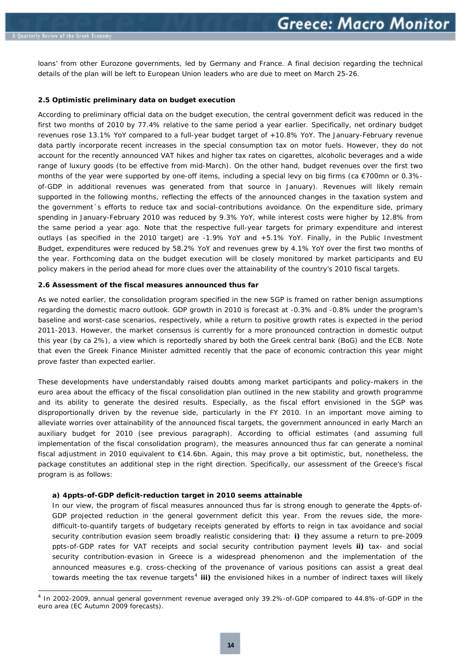-

<span id="page-12-0"></span>loans' from other Eurozone governments, led by Germany and France. A final decision regarding the technical details of the plan will be left to European Union leaders who are due to meet on March 25-26.

#### **2.5 Optimistic preliminary data on budget execution**

According to preliminary official data on the budget execution, the central government deficit was reduced in the first two months of 2010 by 77.4% relative to the same period a year earlier. Specifically, net ordinary budget revenues rose 13.1% YoY compared to a full-year budget target of +10.8% YoY. The January-February revenue data partly incorporate recent increases in the special consumption tax on motor fuels. However, they do not account for the recently announced VAT hikes and higher tax rates on cigarettes, alcoholic beverages and a wide range of luxury goods *(to be effective from mid-March).* On the other hand, budget revenues over the first two months of the year were supported by one-off items, including a special levy on big firms *(ca €700mn or 0.3% of-GDP in additional revenues was generated from that source in January).* Revenues will likely remain supported in the following months, reflecting the effects of the announced changes in the taxation system and the government´s efforts to reduce tax and social-contributions avoidance. On the expenditure side, primary spending in January-February 2010 was reduced by 9.3% YoY, while interest costs were higher by 12.8% from the same period a year ago. Note that the respective full-year targets for primary expenditure and interest outlays *(as specified in the 2010 target)* are -1.9% YoY and +5.1% YoY. Finally, in the Public Investment Budget, expenditures were reduced by 58.2% YoY and revenues grew by 4.1% YoY over the first two months of the year. Forthcoming data on the budget execution will be closely monitored by market participants and EU policy makers in the period ahead for more clues over the attainability of the country's 2010 fiscal targets.

#### **2.6 Assessment of the fiscal measures announced thus far**

As we noted earlier, the consolidation program specified in the new SGP is framed on rather benign assumptions regarding the domestic macro outlook. GDP growth in 2010 is forecast at -0.3% and -0.8% under the program's baseline and worst-case scenarios, respectively*,* while a return to positive growth rates is expected in the period 2011-2013. However, the market consensus is currently for a more pronounced contraction in domestic output this year *(by ca 2%),* a view which is reportedly shared by both the Greek central bank (BoG) and the ECB. Note that even the Greek Finance Minister admitted recently that the pace of economic contraction this year might prove faster than expected earlier.

These developments have understandably raised doubts among market participants and policy-makers in the euro area about the efficacy of the fiscal consolidation plan outlined in the new stability and growth programme and its ability to generate the desired results. Especially, as the fiscal effort envisioned in the SGP was disproportionally driven by the revenue side, particularly in the FY 2010. In an important move aiming to alleviate worries over attainability of the announced fiscal targets, the government announced in early March an auxiliary budget for 2010 (see previous paragraph). According to official estimates (and assuming full implementation of the fiscal consolidation program), the measures announced thus far can generate a nominal fiscal adjustment in 2010 equivalent to €14.6bn. Again, this may prove a bit optimistic, but, nonetheless, the package constitutes an additional step in the right direction. Specifically, our assessment of the Greece's fiscal program is as follows:

#### **a) 4ppts-of-GDP deficit-reduction target in 2010 seems attainable**

In our view, the program of fiscal measures announced thus far is strong enough to generate the 4ppts-of-GDP projected reduction in the general government deficit this year. From the revues side, the moredifficult-to-quantify targets of budgetary receipts generated by efforts to reign in tax avoidance and social security contribution evasion seem broadly realistic considering that: **i)** they assume a return to pre-2009 ppts-of-GDP rates for VAT receipts and social security contribution payment levels **ii)** tax- and social security contribution-evasion in Greece is a widespread phenomenon and the implementation of the announced measures *e.g. cross-checking of the provenance of various positions* can assist a great deal towards meeting the tax revenue targets<sup>[4](#page-12-1)</sup> iii) the envisioned hikes in a number of indirect taxes will likely

<span id="page-12-1"></span><sup>4</sup> In 2002-2009, annual general government revenue averaged only 39.2%-of-GDP compared to 44.8%-of-GDP in the euro area (EC Autumn 2009 forecasts).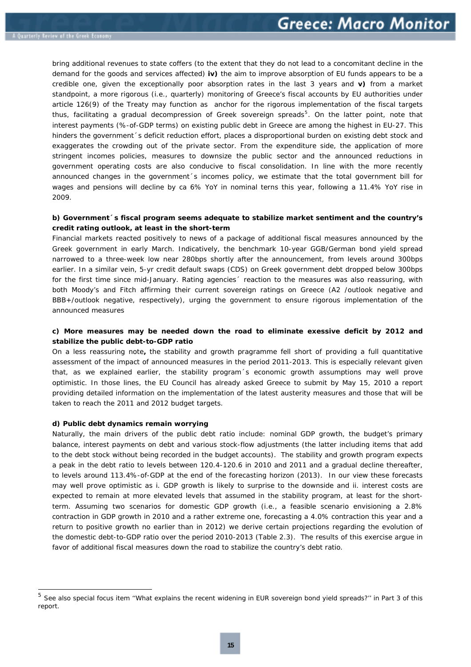bring additional revenues to state coffers *(to the extent that they do not lead to a concomitant decline in the demand for the goods and services affected)* **iv)** the aim to improve absorption of EU funds appears to be a credible one, given the exceptionally poor absorption rates in the last 3 years and **v)** from a market standpoint, a more rigorous *(i.e., quarterly)* monitoring of Greece's fiscal accounts by EU authorities under article 126(9) of the Treaty may function as anchor for the rigorous implementation of the fiscal targets thus, facilitating a gradual decompression of Greek sovereign spreads<sup>[5](#page-13-0)</sup>. On the latter point, note that interest payments *(%-of-GDP terms)* on existing public debt in Greece are among the highest in EU-27. This hinders the government 's deficit reduction effort, places a disproportional burden on existing debt stock and exaggerates the crowding out of the private sector. From the expenditure side, the application of more stringent incomes policies, measures to downsize the public sector and the announced reductions in government operating costs are also conducive to fiscal consolidation. In line with the more recently announced changes in the government's incomes policy, we estimate that the total government bill for wages and pensions will decline by ca 6% YoY in nominal terns this year, following a 11.4% YoY rise in 2009.

#### **b) Government´s fiscal program seems adequate to stabilize market sentiment and the country's credit rating outlook, at least in the short-term**

Financial markets reacted positively to news of a package of additional fiscal measures announced by the Greek government in early March. Indicatively, the benchmark 10-year GGB/German bond yield spread narrowed to a three-week low near 280bps shortly after the announcement, from levels around 300bps earlier. In a similar vein, 5-yr credit default swaps (CDS) on Greek government debt dropped below 300bps for the first time since mid-January. Rating agencies´ reaction to the measures was also reassuring, with both Moody's and Fitch affirming their current sovereign ratings on Greece (A2 /outlook negative and BBB+/outlook negative, respectively), urging the government to ensure rigorous implementation of the announced measures

#### **c) More measures may be needed down the road to eliminate exessive deficit by 2012 and stabilize the public debt-to-GDP ratio**

On a less reassuring note**,** the stability and growth pragramme fell short of providing a full *quantitative* assessment of the impact of announced measures in the period 2011-2013. This is especially relevant given that, as we explained earlier, the stability program´s economic growth assumptions may well prove optimistic. In those lines, the EU Council has already asked Greece to submit by May 15, 2010 a report providing detailed information on the implementation of the latest austerity measures and those that *will be taken* to reach the 2011 and 2012 budget targets.

#### **d) Public debt dynamics remain worrying**

ł

Naturally, the main drivers of the public debt ratio include: nominal GDP growth, the budget's primary balance, interest payments on debt and various stock-flow adjustments *(the latter including items that add to the debt stock without being recorded in the budget accounts).* The stability and growth program expects a peak in the debt ratio to levels between 120.4-120.6 in 2010 and 2011 and a gradual decline thereafter, to levels around 113.4%-of-GDP at the end of the forecasting horizon (2013). In our view these forecasts may well prove optimistic as i. GDP growth is likely to surprise to the downside and ii. interest costs are expected to remain at more elevated levels that assumed in the stability program, at least for the shortterm. Assuming two scenarios for domestic GDP growth *(i.e., a feasible scenario envisioning a 2.8% contraction in GDP growth in 2010 and a rather extreme one, forecasting a 4.0% contraction this year and a return to positive growth no earlier than in 2012)* we derive certain projections regarding the evolution of the domestic debt-to-GDP ratio over the period 2010-2013 (Table 2.3). The results of this exercise argue in favor of additional fiscal measures down the road to stabilize the country's debt ratio.

<span id="page-13-0"></span><sup>5</sup> See also special focus item ''What explains the recent widening in EUR sovereign bond yield spreads?'' in Part 3 of this report.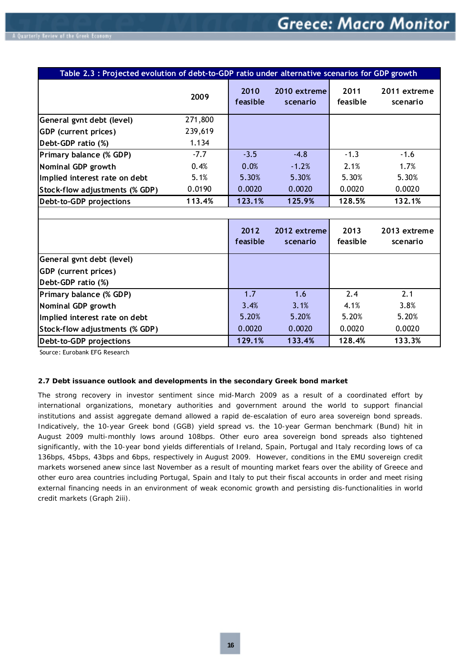<span id="page-14-0"></span>

| Table 2.3 : Projected evolution of debt-to-GDP ratio under alternative scenarios for GDP growth |         |                  |                          |                  |                          |
|-------------------------------------------------------------------------------------------------|---------|------------------|--------------------------|------------------|--------------------------|
|                                                                                                 | 2009    | 2010<br>feasible | 2010 extreme<br>scenario | 2011<br>feasible | 2011 extreme<br>scenario |
| General gynt debt (level)                                                                       | 271,800 |                  |                          |                  |                          |
| <b>GDP</b> (current prices)                                                                     | 239,619 |                  |                          |                  |                          |
| Debt-GDP ratio (%)                                                                              | 1.134   |                  |                          |                  |                          |
| Primary balance (% GDP)                                                                         | $-7.7$  | $-3.5$           | $-4.8$                   | $-1.3$           | $-1.6$                   |
| Nominal GDP growth                                                                              | 0.4%    | 0.0%             | $-1.2%$                  | 2.1%             | 1.7%                     |
| Implied interest rate on debt                                                                   | 5.1%    | 5.30%            | 5.30%                    | 5.30%            | 5.30%                    |
| Stock-flow adjustments (% GDP)                                                                  | 0.0190  | 0.0020           | 0.0020                   | 0.0020           | 0.0020                   |
| Debt-to-GDP projections                                                                         | 113.4%  | 123.1%           | 125.9%                   | 128.5%           | 132.1%                   |
|                                                                                                 |         |                  |                          |                  |                          |
|                                                                                                 |         | 2012<br>feasible | 2012 extreme<br>scenario | 2013<br>feasible | 2013 extreme<br>scenario |
| General gynt debt (level)                                                                       |         |                  |                          |                  |                          |
| GDP (current prices)                                                                            |         |                  |                          |                  |                          |
| Debt-GDP ratio (%)                                                                              |         |                  |                          |                  |                          |
| Primary balance (% GDP)                                                                         |         | 1.7              | 1.6                      | 2.4              | 2.1                      |
| Nominal GDP growth                                                                              |         | 3.4%             | 3.1%                     | 4.1%             | 3.8%                     |
| Implied interest rate on debt                                                                   |         | 5.20%            | 5.20%                    | 5.20%            | 5.20%                    |
| Stock-flow adjustments (% GDP)                                                                  |         | 0.0020           | 0.0020                   | 0.0020           | 0.0020                   |
| Debt-to-GDP projections                                                                         |         | 129.1%           | 133.4%                   | 128.4%           | 133.3%                   |

Source: Eurobank EFG Research

#### **2.7 Debt issuance outlook and developments in the secondary Greek bond market**

The strong recovery in investor sentiment since mid-March 2009 as a result of a coordinated effort by international organizations, monetary authorities and government around the world to support financial institutions and assist aggregate demand allowed a rapid de-escalation of euro area sovereign bond spreads. Indicatively, the 10-year Greek bond (GGB) yield spread vs. the 10-year German benchmark (Bund) hit in August 2009 multi-monthly lows around 108bps. Other euro area sovereign bond spreads also tightened significantly, with the 10-year bond yields differentials of Ireland, Spain, Portugal and Italy recording lows of ca 136bps, 45bps, 43bps and 6bps, respectively in August 2009. However, conditions in the EMU sovereign credit markets worsened anew since last November as a result of mounting market fears over the ability of Greece and other euro area countries including Portugal, Spain and Italy to put their fiscal accounts in order and meet rising external financing needs in an environment of weak economic growth and persisting dis-functionalities in world credit markets *(Graph 2iii).*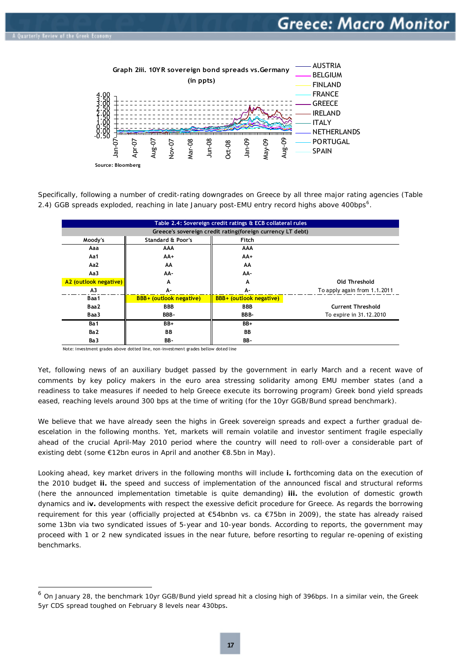1



Specifically, following a number of credit-rating downgrades on Greece by all three major rating agencies (*Table*  2.4) GGB spreads exploded, reaching in late January post-EMU entry record highs above 400bps<sup>[6](#page-15-0)</sup>.

| Table 2.4: Sovereign credit ratings & ECB collateral rules |                                |                                |                              |  |  |
|------------------------------------------------------------|--------------------------------|--------------------------------|------------------------------|--|--|
| Greece's sovereign credit rating(foreign currency LT debt) |                                |                                |                              |  |  |
| Moody's                                                    | <b>Standard &amp; Poor's</b>   | Fitch                          |                              |  |  |
| Aaa                                                        | AAA                            | AAA                            |                              |  |  |
| Aa1                                                        | AA+                            | AA+                            |                              |  |  |
| Aa2                                                        | AA                             | AA                             |                              |  |  |
| Aa3                                                        | AA-                            | AA-                            |                              |  |  |
| A2 (outlook negative)                                      | A                              | A                              | Old Threshold                |  |  |
| A <sub>3</sub>                                             | А-                             | А-                             | To apply again from 1.1.2011 |  |  |
| Baa 1                                                      | <b>BBB+</b> (outlook negative) | <b>BBB+ (outlook negative)</b> |                              |  |  |
| Baa2                                                       | <b>BBB</b>                     | <b>BBB</b>                     | <b>Current Threshold</b>     |  |  |
| Baa3                                                       | BBB-                           | BBB-                           | To expire in 31.12.2010      |  |  |
| Ba1                                                        | BB+                            | BB+                            |                              |  |  |
| Ba <sub>2</sub>                                            | BB                             | BB                             |                              |  |  |
| Ba3                                                        | BB-                            | BB-                            |                              |  |  |

Note: investment grades above dotted line, non-investment grades bellow doted line

Yet, following news of an auxiliary budget passed by the government in early March and a recent wave of comments by key policy makers in the euro area stressing solidarity among EMU member states (and a readiness to take measures if needed to help Greece execute its borrowing program) Greek bond yield spreads eased, reaching levels around 300 bps at the time of writing *(for the 10yr GGB/Bund spread benchmark).* 

We believe that we have already seen the highs in Greek sovereign spreads and expect a further gradual deescelation in the following months. Yet, markets will remain volatile and investor sentiment fragile especially ahead of the crucial April-May 2010 period where the country will need to roll-over a considerable part of existing debt *(some €12bn euros in April and another €8.5bn in May).*

Looking ahead, key market drivers in the following months will include **i.** forthcoming data on the execution of the 2010 budget **ii.** the speed and success of implementation of the announced fiscal and structural reforms (here the announced implementation timetable is quite demanding) **iii.** the evolution of domestic growth dynamics and i**v.** developments with respect the exessive deficit procedure for Greece. As regards the borrowing requirement for this year (officially projected at €54bnbn vs. ca €75bn in 2009), the state has already raised some 13bn via two syndicated issues of 5-year and 10-year bonds. According to reports, the government may proceed with 1 or 2 new syndicated issues in the near future, before resorting to regular re-opening of existing benchmarks.

<span id="page-15-0"></span><sup>6</sup> On January 28, the benchmark 10yr GGB/Bund yield spread hit a closing high of 396bps. In a similar vein, the Greek 5yr CDS spread toughed on February 8 levels near 430bps.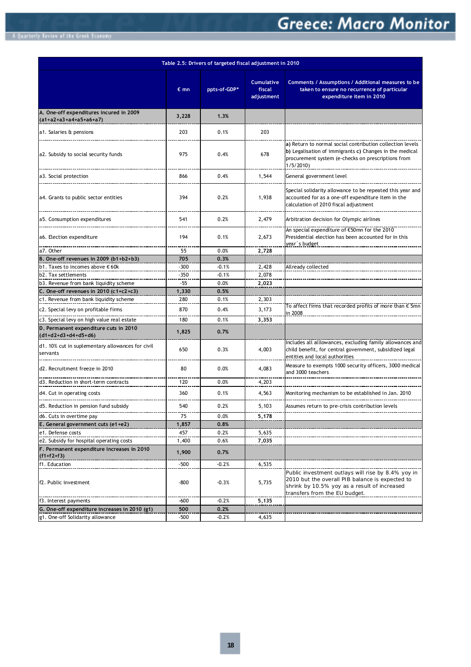# **Greece: Macro Monitor**

|                                                                     |                  |              |                                    | Table 2.5: Drivers of targeted fiscal adjustment in 2010                                                                                                                               |  |  |  |  |  |
|---------------------------------------------------------------------|------------------|--------------|------------------------------------|----------------------------------------------------------------------------------------------------------------------------------------------------------------------------------------|--|--|--|--|--|
|                                                                     | $\varepsilon$ mn | ppts-of-GDP* | Cumulative<br>fiscal<br>adjustment | Comments / Assumptions / Additional measures to be<br>taken to ensure no recurrence of particular<br>expenditure item in 2010                                                          |  |  |  |  |  |
| A. One-off expenditures incured in 2009<br>$(a1+a2+a3+a4+a5+a6+a7)$ | 3,228            | 1.3%         |                                    |                                                                                                                                                                                        |  |  |  |  |  |
| a1. Salaries & pensions                                             | 203              | 0.1%         | 203                                |                                                                                                                                                                                        |  |  |  |  |  |
| a2. Subsidy to social security funds                                | 975              | 0.4%         | 678                                | a) Return to normal social contribution collection levels<br>b) Legalisation of immigrants c) Changes in the medical<br>procurement system (e-checks on prescriptions from<br>1/5/2010 |  |  |  |  |  |
| a3. Social protection                                               | 866              | 0.4%         | 1,544                              | General government level                                                                                                                                                               |  |  |  |  |  |
| a4. Grants to public sector entities                                | 394              | 0.2%         | 1,938                              | Special solidarity allowance to be repeated this year and<br>accounted for as a one-off expenditure item in the<br>calculation of 2010 fiscal adjustment                               |  |  |  |  |  |
| a5. Consumption expenditures                                        | 541              | 0.2%         | 2,479                              | Arbitration decision for Olympic airlines                                                                                                                                              |  |  |  |  |  |
| a6. Election expenditure                                            | 194              | 0.1%         | 2,673                              | An special expenditure of €50mn for the 2010<br>Presidential election has been accounted for in this<br><u>vear´s budget_</u>                                                          |  |  |  |  |  |
| a7. Other                                                           | 55               | 0.0%         | 2,728                              |                                                                                                                                                                                        |  |  |  |  |  |
| B. One-off revenues in 2009 (b1+b2+b3)                              | 705              | 0.3%         |                                    |                                                                                                                                                                                        |  |  |  |  |  |
| b1. Taxes to incomes above €60k                                     | -300             | $-0.1%$      | 2,428                              | Allready collected                                                                                                                                                                     |  |  |  |  |  |
| b2. Tax settlements                                                 | $-350$           | $-0.1%$      | 2,078                              |                                                                                                                                                                                        |  |  |  |  |  |
| b3. Revenue from bank liquidity scheme                              | -55              | 0.0%         | 2,023                              |                                                                                                                                                                                        |  |  |  |  |  |
| C. One-off revenues in $2010$ (c1+c2+c3)                            | 1,330            | 0.5%         |                                    |                                                                                                                                                                                        |  |  |  |  |  |
| c1. Revenue from bank liquidity scheme                              | 280              | 0.1%         | 2,303                              |                                                                                                                                                                                        |  |  |  |  |  |
| c2. Special levy on profitable firms                                | 870              | 0.4%         | 3,173                              | To affect firms that recorded profits of more than $\in$ 5mn<br>in 2008                                                                                                                |  |  |  |  |  |
| c3. Special levy on high value real estate                          | 180              | 0.1%         | 3,353                              |                                                                                                                                                                                        |  |  |  |  |  |
| D. Permanent expenditure cuts in 2010<br>$(d1+d2+d3+d4+d5+d6)$      | 1,825            | 0.7%         |                                    |                                                                                                                                                                                        |  |  |  |  |  |
| d1. 10% cut in suplementary allowances for civil<br>servants        | 650              | 0.3%         | 4,003                              | Includes all alllowances, excluding family allowances and<br>child benefit, for central government, subsidized legal<br>entities and local authorities                                 |  |  |  |  |  |
| d <sub>2</sub> . Recruitment freeze in 2010                         | 80               | 0.0%         | 4,083                              | Measure to exempts 1000 security officers, 3000 medical<br>and 3000 teachers                                                                                                           |  |  |  |  |  |
| d3. Reduction in short-term contracts                               | 120              | 0.0%         | 4,203                              |                                                                                                                                                                                        |  |  |  |  |  |
| d4. Cut in operating costs                                          | 360              | 0.1%         | 4,563                              | Monitoring mechanism to be established in Jan. 2010                                                                                                                                    |  |  |  |  |  |
| d5. Reduction in pension fund subsidy                               | 540              | 0.2%         | 5,103                              | Assumes return to pre-crisis contribution levels                                                                                                                                       |  |  |  |  |  |
| d6. Cuts in overtime pay                                            | 15               | 0.0%         | 5,178                              |                                                                                                                                                                                        |  |  |  |  |  |
| E. General government cuts (e1+e2)                                  | 1,857            | 0.8%         |                                    |                                                                                                                                                                                        |  |  |  |  |  |
| e1. Defense costs                                                   | 457              | 0.2%         | 5,635                              |                                                                                                                                                                                        |  |  |  |  |  |
| e2. Subsidy for hospital operating costs                            | 1,400            | 0.6%         | 7,035                              |                                                                                                                                                                                        |  |  |  |  |  |
| F. Permanent expenditure increases in 2010<br>$(f1+f2+f3)$          | 1,900            | 0.7%         |                                    |                                                                                                                                                                                        |  |  |  |  |  |
| f1. Education                                                       | -500             | $-0.2%$      | 6,535                              |                                                                                                                                                                                        |  |  |  |  |  |
| f2. Public investment                                               | -800             | $-0.3%$      | 5,735                              | Public investment outlays will rise by 8.4% yoy in<br>2010 but the overall PIB balance is expected to<br>shrink by 10.5% yoy as a result of increased<br>transfers from the EU budget. |  |  |  |  |  |
| f3. Interest payments                                               | -600             | $-0.2%$      | 5,135                              |                                                                                                                                                                                        |  |  |  |  |  |
| G. One-off expenditure increases in 2010 (g1)                       | 500              | 0.2%         |                                    |                                                                                                                                                                                        |  |  |  |  |  |
| g1. One-off Solidarity allowance                                    | $-500$           | $-0.2%$      | 4,635                              |                                                                                                                                                                                        |  |  |  |  |  |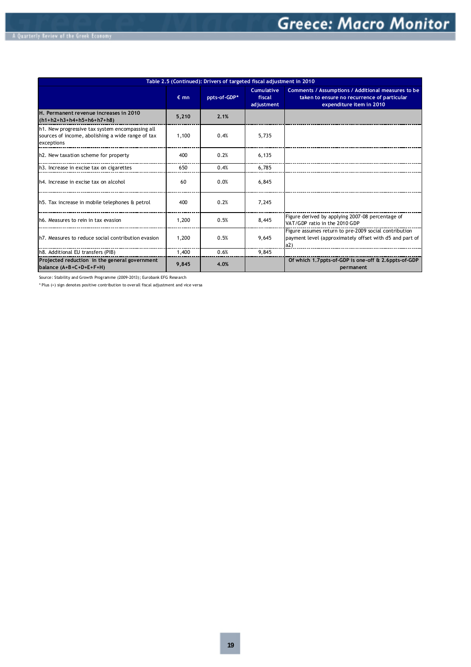|                                                                                                                    |               | Table 2.5 (Continued): Drivers of targeted fiscal adjustment in 2010 |                                           |                                                                                                                               |
|--------------------------------------------------------------------------------------------------------------------|---------------|----------------------------------------------------------------------|-------------------------------------------|-------------------------------------------------------------------------------------------------------------------------------|
|                                                                                                                    | $\epsilon$ mn | ppts-of-GDP*                                                         | <b>Cumulative</b><br>fiscal<br>adjustment | Comments / Assumptions / Additional measures to be<br>taken to ensure no recurrence of particular<br>expenditure item in 2010 |
| H. Permanent revenue increases in 2010<br>$(h1+h2+h3+h4+h5+h6+h7+h8)$                                              | 5.210         | 2.1%                                                                 |                                           |                                                                                                                               |
| h1. New progressive tax system encompassing all<br>sources of income, abolishing a wide range of tax<br>exceptions | 1,100         | 0.4%                                                                 | 5,735                                     |                                                                                                                               |
| h2. New taxation scheme for property                                                                               | 400           | 0.2%                                                                 | 6,135                                     |                                                                                                                               |
| h3. Increase in excise tax on cigarettes                                                                           | 650           | 0.4%                                                                 | 6,785                                     |                                                                                                                               |
| th4. Increase in excise tax on alcohol                                                                             | 60            | 0.0%                                                                 | 6,845                                     |                                                                                                                               |
| h5. Tax increase in mobile telephones & petrol                                                                     | 400           | 0.2%                                                                 | 7.245                                     |                                                                                                                               |
| Ih6. Measures to rein in tax evasion                                                                               | 1.200         | 0.5%                                                                 | 8,445                                     | Figure derived by applying 2007-08 percentage of<br>VAT/GDP ratio in the 2010 GDP                                             |
| Ih7. Measures to reduce social contribution evasion                                                                | 1,200         | 0.5%                                                                 | 9.645                                     | Figure assumes return to pre-2009 social contribution<br>payment level (approximately offset with d5 and part of<br>a2)       |
| h8. Additional EU transfers (PIB)                                                                                  | 1,400         | 0.6%                                                                 | 9.845                                     |                                                                                                                               |
| Projected reduction in the general government<br>balance (A+B+C+D+E+F+H)                                           | 9,845         | 4.0%                                                                 |                                           | Of which 1.7ppts-of-GDP is one-off & 2.6ppts-of-GDP<br>permanent                                                              |

Source: Stability and Growth Programme (2009-2013); Eurobank EFG Research

\* Plus (+) sign denotes positive contribution to overall fiscal adjustment and vice versa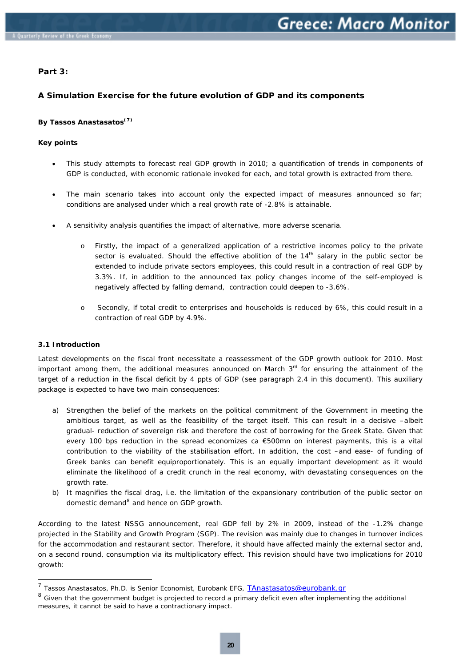#### <span id="page-18-0"></span>**Part 3:**

#### **A Simulation Exercise for the future evolution of GDP and its components**

#### **By Tassos Anastasatos**<sup>(7)</sup>

#### **Key points**

- This study attempts to forecast real GDP growth in 2010; a quantification of trends in components of GDP is conducted, with economic rationale invoked for each, and total growth is extracted from there.
- The main scenario takes into account only the expected impact of measures announced so far; conditions are analysed under which a real growth rate of -2.8% is attainable.
- A sensitivity analysis quantifies the impact of alternative, more adverse scenaria.
	- Firstly, the impact of a generalized application of a restrictive incomes policy to the private sector is evaluated. Should the effective abolition of the  $14<sup>th</sup>$  salary in the public sector be extended to include private sectors employees, this could result in a contraction of real GDP by 3.3%. If, in addition to the announced tax policy changes income of the self-employed is negatively affected by falling demand, contraction could deepen to -3.6%.
	- o Secondly, if total credit to enterprises and households is reduced by 6%, this could result in a contraction of real GDP by 4.9%.

#### **3.1 Introduction**

1

Latest developments on the fiscal front necessitate a reassessment of the GDP growth outlook for 2010. Most important among them, the additional measures announced on March  $3<sup>rd</sup>$  for ensuring the attainment of the target of a reduction in the fiscal deficit by 4 ppts of GDP (see paragraph 2.4 in this document). This auxiliary package is expected to have two main consequences:

- a) Strengthen the belief of the markets on the political commitment of the Government in meeting the ambitious target, as well as the feasibility of the target itself. This can result in a decisive –albeit gradual- reduction of sovereign risk and therefore the cost of borrowing for the Greek State. Given that every 100 bps reduction in the spread economizes ca €500mn on interest payments, this is a vital contribution to the viability of the stabilisation effort. In addition, the cost –and ease- of funding of Greek banks can benefit equiproportionately. This is an equally important development as it would eliminate the likelihood of a credit crunch in the real economy, with devastating consequences on the growth rate.
- b) It magnifies the fiscal drag, i.e. the limitation of the expansionary contribution of the public sector on domestic demand<sup>[8](#page-18-2)</sup> and hence on GDP growth.

According to the latest NSSG announcement, real GDP fell by 2% in 2009, instead of the -1.2% change projected in the Stability and Growth Program (SGP). The revision was mainly due to changes in turnover indices for the accommodation and restaurant sector. Therefore, it should have affected mainly the external sector and, on a second round, consumption via its multiplicatory effect. This revision should have two implications for 2010 growth:

<span id="page-18-1"></span><sup>&</sup>lt;sup>7</sup> Tassos Anastasatos, Ph.D. is Senior Economist, Eurobank EFG, **[TAnastasatos@eurobank.gr](mailto:TAnastasatos@eurobank.gr)** 

<span id="page-18-2"></span> $8$  Given that the government budget is projected to record a primary deficit even after implementing the additional measures, it cannot be said to have a contractionary impact.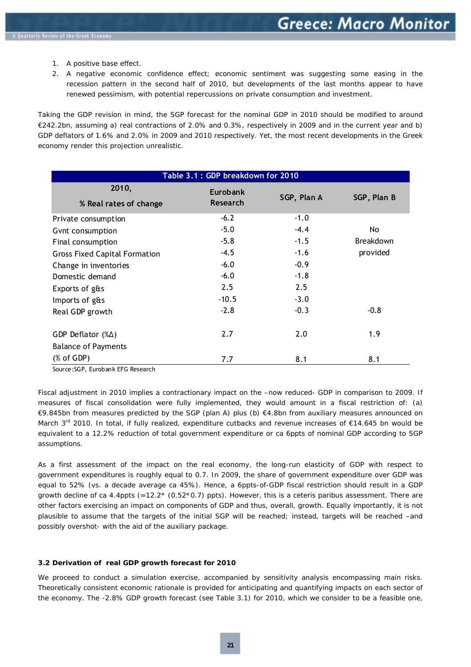- <span id="page-19-0"></span>1. A positive base effect.
- 2. A negative economic confidence effect; economic sentiment was suggesting some easing in the recession pattern in the second half of 2010, but developments of the last months appear to have renewed pessimism, with potential repercussions on private consumption and investment.

Taking the GDP revision in mind, the SGP forecast for the nominal GDP in 2010 should be modified to around €242.2bn, assuming a) real contractions of 2.0% and 0.3%, respectively in 2009 and in the current year and b) GDP deflators of 1.6% and 2.0% in 2009 and 2010 respectively. Yet, the most recent developments in the Greek economy render this projection unrealistic.

|                                      | Table 3.1 : GDP breakdown for 2010 |             |                  |  |  |
|--------------------------------------|------------------------------------|-------------|------------------|--|--|
| 2010,<br>% Real rates of change      | Eurobank<br><b>Research</b>        | SGP, Plan A | SGP, Plan B      |  |  |
| Private consumption                  | $-6.2$                             | $-1.0$      |                  |  |  |
| Gynt consumption                     | $-5.0$                             | $-4.4$      | No.              |  |  |
| Final consumption                    | $-5.8$                             | $-1.5$      | <b>Breakdown</b> |  |  |
| <b>Gross Fixed Capital Formation</b> | $-4.5$                             | $-1.6$      | provided         |  |  |
| Change in inventories                | $-6.0$                             | $-0.9$      |                  |  |  |
| Domestic demand                      | $-6.0$                             | $-1.8$      |                  |  |  |
| Exports of g&s                       | 2.5                                | 2.5         |                  |  |  |
| Imports of g&s                       | $-10.5$                            | $-3.0$      |                  |  |  |
| Real GDP growth                      | $-2.8$                             | $-0.3$      | $-0.8$           |  |  |
| GDP Deflator $(\% \Delta)$           | 2.7                                | 2.0         | 1.9              |  |  |
| <b>Balance of Payments</b>           |                                    |             |                  |  |  |
| $(% \mathcal{L}_{0})$ (% of GDP)     | 7.7                                | 8.1         | 8.1              |  |  |

Source:SGP, Eurobank EFG Research

Fiscal adjustment in 2010 implies a contractionary impact on the –now reduced- GDP in comparison to 2009. If measures of fiscal consolidation were fully implemented, they would amount in a fiscal restriction of: (a) €9.845bn from measures predicted by the SGP (plan A) plus (b) €4.8bn from auxiliary measures announced on March 3<sup>rd</sup> 2010. In total, if fully realized, expenditure cutbacks and revenue increases of €14.645 bn would be equivalent to a 12.2% reduction of total government expenditure or ca 6ppts of nominal GDP according to SGP assumptions.

As a first assessment of the impact on the real economy, the long-run elasticity of GDP with respect to government expenditures is roughly equal to 0.7. In 2009, the share of government expenditure over GDP was equal to 52% (vs. a decade average ca 45%). Hence, a 6ppts-of-GDP fiscal restriction should result in a GDP growth decline of ca 4.4ppts (=12.2\* (0.52\*0.7) ppts). However, this is a ceteris paribus assessment. There are other factors exercising an impact on components of GDP and thus, overall, growth. Equally importantly, it is not plausible to assume that the targets of the initial SGP will be reached; instead, targets will be reached –and possibly overshot- with the aid of the auxiliary package.

#### **3.2 Derivation of real GDP growth forecast for 2010**

We proceed to conduct a simulation exercise, accompanied by sensitivity analysis encompassing main risks. Theoretically consistent economic rationale is provided for anticipating and quantifying impacts on each sector of the economy. The -2.8% GDP growth forecast (see Table 3.1) for 2010, which we consider to be a feasible one,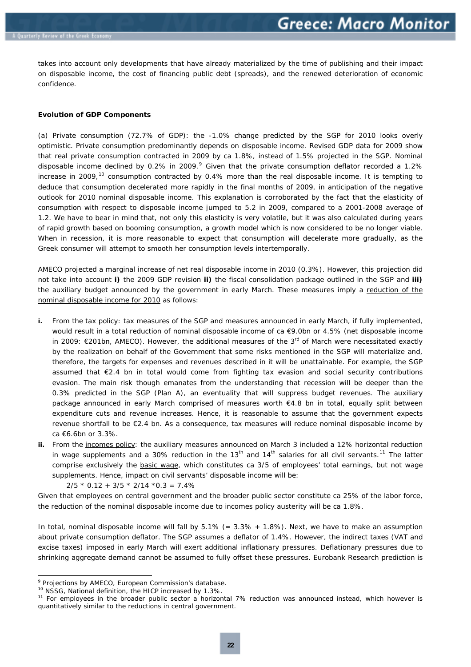takes into account only developments that have already materialized by the time of publishing and their impact on disposable income, the cost of financing public debt (spreads), and the renewed deterioration of economic confidence.

#### **Evolution of GDP Components**

(a) Private consumption (72.7% of GDP): the -1.0% change predicted by the SGP for 2010 looks overly optimistic. Private consumption predominantly depends on disposable income. Revised GDP data for 2009 show that real private consumption contracted in 2009 by ca 1.8%, instead of 1.5% projected in the SGP. Nominal disposable income declined by 0.2% in 200[9](#page-20-0). $9$  Given that the private consumption deflator recorded a 1.2% increase in 2009,<sup>[10](#page-20-1)</sup> consumption contracted by 0.4% more than the real disposable income. It is tempting to deduce that consumption decelerated more rapidly in the final months of 2009, in anticipation of the negative outlook for 2010 nominal disposable income. This explanation is corroborated by the fact that the elasticity of consumption with respect to disposable income jumped to 5.2 in 2009, compared to a 2001-2008 average of 1.2. We have to bear in mind that, not only this elasticity is very volatile, but it was also calculated during years of rapid growth based on booming consumption, a growth model which is now considered to be no longer viable. When in recession, it is more reasonable to expect that consumption will decelerate more gradually, as the Greek consumer will attempt to smooth her consumption levels intertemporally.

AMECO projected a marginal increase of net real disposable income in 2010 (0.3%). However, this projection did not take into account **i)** the 2009 GDP revision **ii)** the fiscal consolidation package outlined in the SGP and **iii)** the auxiliary budget announced by the government in early March. These measures imply a reduction of the nominal disposable income for 2010 as follows:

- **i.** From the tax policy: tax measures of the SGP and measures announced in early March, if fully implemented, would result in a total reduction of nominal disposable income of ca €9.0bn or 4.5% (net disposable income in 2009: €201bn, AMECO). However, the additional measures of the  $3<sup>rd</sup>$  of March were necessitated exactly by the realization on behalf of the Government that some risks mentioned in the SGP will materialize and, therefore, the targets for expenses and revenues described in it will be unattainable. For example, the SGP assumed that €2.4 bn in total would come from fighting tax evasion and social security contributions evasion. The main risk though emanates from the understanding that recession will be deeper than the 0.3% predicted in the SGP (Plan A), an eventuality that will suppress budget revenues. The auxiliary package announced in early March comprised of measures worth €4.8 bn in total, equally split between expenditure cuts and revenue increases. Hence, it is reasonable to assume that the government expects revenue shortfall to be €2.4 bn. As a consequence, tax measures will reduce nominal disposable income by ca €6.6bn or 3.3%.
- **ii.** From the incomes policy: the auxiliary measures announced on March 3 included a 12% horizontal reduction in wage supplements and a 30% reduction in the  $13<sup>th</sup>$  and  $14<sup>th</sup>$  salaries for all civil servants.<sup>[11](#page-20-2)</sup> The latter comprise exclusively the basic wage, which constitutes ca 3/5 of employees' total earnings, but not wage supplements. Hence, impact on civil servants' disposable income will be:

 $2/5 * 0.12 + 3/5 * 2/14 * 0.3 = 7.4%$ 

Given that employees on central government and the broader public sector constitute ca 25% of the labor force, the reduction of the nominal disposable income due to incomes policy austerity will be ca 1.8%.

In total, nominal disposable income will fall by  $5.1\%$  (=  $3.3\%$  +  $1.8\%$ ). Next, we have to make an assumption about private consumption deflator. The SGP assumes a deflator of 1.4%. However, the indirect taxes (VAT and excise taxes) imposed in early March will exert additional inflationary pressures. Deflationary pressures due to shrinking aggregate demand cannot be assumed to fully offset these pressures. Eurobank Research prediction is

1

<sup>&</sup>lt;sup>9</sup> Projections by AMECO, European Commission's database.

<span id="page-20-2"></span><span id="page-20-1"></span><span id="page-20-0"></span><sup>&</sup>lt;sup>10</sup> NSSG, National definition, the HICP increased by 1.3%.<br><sup>11</sup> For employees in the broader public sector a horizontal 7% reduction was announced instead, which however is quantitatively similar to the reductions in central government.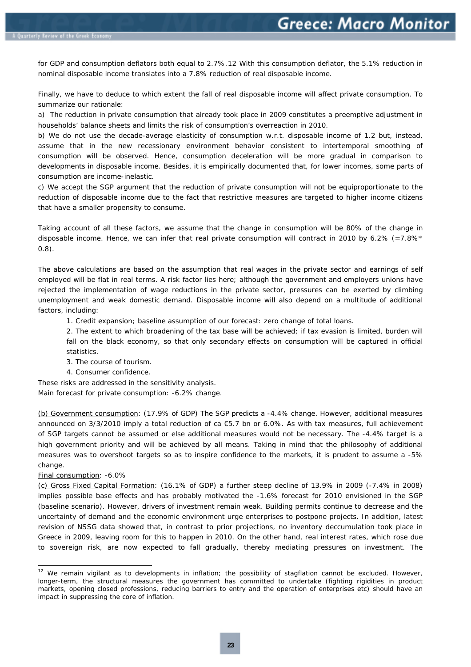for GDP and consumption deflators both equal to 2.7%.[12](#page-21-0) With this consumption deflator, the 5.1% reduction in nominal disposable income translates into a 7.8% reduction of real disposable income.

Finally, we have to deduce to which extent the fall of real disposable income will affect private consumption. To summarize our rationale:

a) The reduction in private consumption that already took place in 2009 constitutes a preemptive adjustment in households' balance sheets and limits the risk of consumption's overreaction in 2010.

b) We do not use the decade-average elasticity of consumption w.r.t. disposable income of 1.2 but, instead, assume that in the new recessionary environment behavior consistent to intertemporal smoothing of consumption will be observed. Hence, consumption deceleration will be more gradual in comparison to developments in disposable income. Besides, it is empirically documented that, for lower incomes, some parts of consumption are income-inelastic.

c) We accept the SGP argument that the reduction of private consumption will not be equiproportionate to the reduction of disposable income due to the fact that restrictive measures are targeted to higher income citizens that have a smaller propensity to consume.

Taking account of all these factors, we assume that the change in consumption will be 80% of the change in disposable income. Hence, we can infer that real private consumption will contract in 2010 by 6.2% (=7.8% $*$ 0.8).

The above calculations are based on the assumption that real wages in the private sector and earnings of self employed will be flat in real terms. A risk factor lies here; although the government and employers unions have rejected the implementation of wage reductions in the private sector, pressures can be exerted by climbing unemployment and weak domestic demand. Disposable income will also depend on a multitude of additional factors, including:

1. Credit expansion; baseline assumption of our forecast: zero change of total loans.

2. The extent to which broadening of the tax base will be achieved; if tax evasion is limited, burden will fall on the black economy, so that only secondary effects on consumption will be captured in official statistics.

- 3. The course of tourism.
- 4. Consumer confidence.

These risks are addressed in the sensitivity analysis.

Main forecast for private consumption: -6.2% change.

(b) Government consumption: (17.9% of GDP) The SGP predicts a -4.4% change. However, additional measures announced on 3/3/2010 imply a total reduction of ca €5.7 bn or 6.0%. As with tax measures, full achievement of SGP targets cannot be assumed or else additional measures would not be necessary. The -4.4% target is a high government priority and will be achieved by all means. Taking in mind that the philosophy of additional measures was to overshoot targets so as to inspire confidence to the markets, it is prudent to assume a -5% change.

#### Final consumption: -6.0%

1

(c) Gross Fixed Capital Formation: (16.1% of GDP) a further steep decline of 13.9% in 2009 (-7.4% in 2008) implies possible base effects and has probably motivated the -1.6% forecast for 2010 envisioned in the SGP (baseline scenario). However, drivers of investment remain weak. Building permits continue to decrease and the uncertainty of demand and the economic environment urge enterprises to postpone projects. In addition, latest revision of NSSG data showed that, in contrast to prior projections, no inventory deccumulation took place in Greece in 2009, leaving room for this to happen in 2010. On the other hand, real interest rates, which rose due to sovereign risk, are now expected to fall gradually, thereby mediating pressures on investment. The

<span id="page-21-0"></span><sup>&</sup>lt;sup>12</sup> We remain vigilant as to developments in inflation; the possibility of stagflation cannot be excluded. However, longer-term, the structural measures the government has committed to undertake (fighting rigidities in product markets, opening closed professions, reducing barriers to entry and the operation of enterprises etc) should have an impact in suppressing the core of inflation.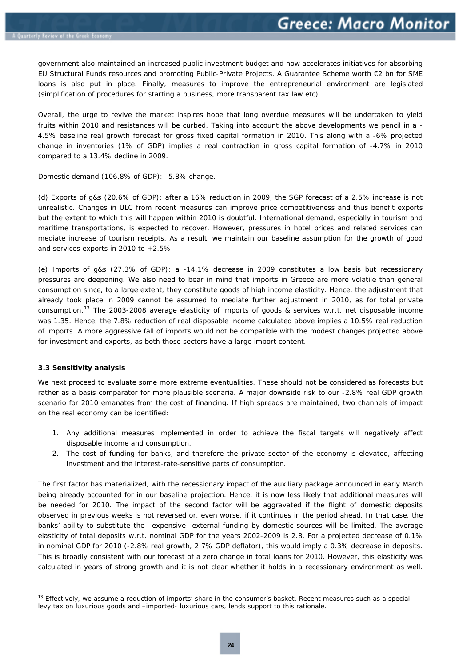<span id="page-22-0"></span>government also maintained an increased public investment budget and now accelerates initiatives for absorbing EU Structural Funds resources and promoting Public-Private Projects. A Guarantee Scheme worth €2 bn for SME loans is also put in place. Finally, measures to improve the entrepreneurial environment are legislated (simplification of procedures for starting a business, more transparent tax law etc).

Overall, the urge to revive the market inspires hope that long overdue measures will be undertaken to yield fruits within 2010 and resistances will be curbed. Taking into account the above developments we pencil in a - 4.5% baseline real growth forecast for gross fixed capital formation in 2010. This along with a -6% projected change in inventories (1% of GDP) implies a real contraction in gross capital formation of -4.7% in 2010 compared to a 13.4% decline in 2009.

Domestic demand (106,8% of GDP): -5.8% change.

(d) Exports of g&s (20.6% of GDP): after a 16% reduction in 2009, the SGP forecast of a 2.5% increase is not unrealistic. Changes in ULC from recent measures can improve price competitiveness and thus benefit exports but the extent to which this will happen within 2010 is doubtful. International demand, especially in tourism and maritime transportations, is expected to recover. However, pressures in hotel prices and related services can mediate increase of tourism receipts. As a result, we maintain our baseline assumption for the growth of good and services exports in 2010 to +2.5%.

(e) Imports of g&s (27.3% of GDP): a -14.1% decrease in 2009 constitutes a low basis but recessionary pressures are deepening. We also need to bear in mind that imports in Greece are more volatile than general consumption since, to a large extent, they constitute goods of high income elasticity. Hence, the adjustment that already took place in 2009 cannot be assumed to mediate further adjustment in 2010, as for total private consumption.[13](#page-22-1) The 2003-2008 average elasticity of imports of goods & services w.r.t. net disposable income was 1.35. Hence, the 7.8% reduction of real disposable income calculated above implies a 10.5% real reduction of imports. A more aggressive fall of imports would not be compatible with the modest changes projected above for investment and exports, as both those sectors have a large import content.

#### **3.3 Sensitivity analysis**

1

We next proceed to evaluate some more extreme eventualities. These should not be considered as forecasts but rather as a basis comparator for more plausible scenaria. A major downside risk to our -2.8% real GDP growth scenario for 2010 emanates from the cost of financing. If high spreads are maintained, two channels of impact on the real economy can be identified:

- 1. Any additional measures implemented in order to achieve the fiscal targets will negatively affect disposable income and consumption.
- 2. The cost of funding for banks, and therefore the private sector of the economy is elevated, affecting investment and the interest-rate-sensitive parts of consumption.

The first factor has materialized, with the recessionary impact of the auxiliary package announced in early March being already accounted for in our baseline projection. Hence, it is now less likely that additional measures will be needed for 2010. The impact of the second factor will be aggravated if the flight of domestic deposits observed in previous weeks is not reversed or, even worse, if it continues in the period ahead. In that case, the banks' ability to substitute the –expensive- external funding by domestic sources will be limited. The average elasticity of total deposits w.r.t. nominal GDP for the years 2002-2009 is 2.8. For a projected decrease of 0.1% in nominal GDP for 2010 (-2.8% real growth, 2.7% GDP deflator), this would imply a 0.3% decrease in deposits. This is broadly consistent with our forecast of a zero change in total loans for 2010. However, this elasticity was calculated in years of strong growth and it is not clear whether it holds in a recessionary environment as well.

<span id="page-22-1"></span><sup>13</sup> Effectively, we assume a reduction of imports' share in the consumer's basket. Recent measures such as a special levy tax on luxurious goods and –imported- luxurious cars, lends support to this rationale.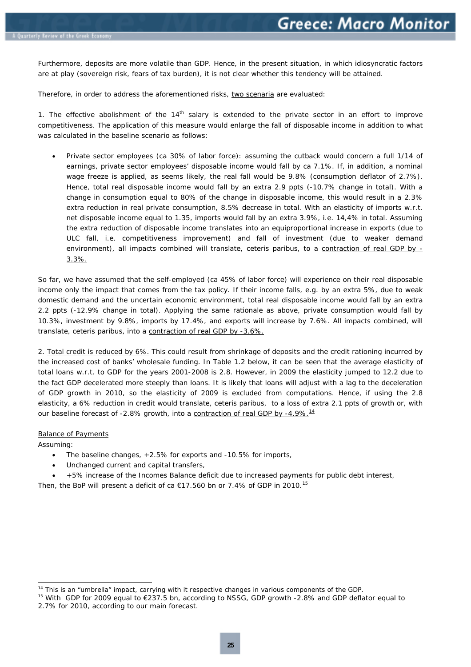Furthermore, deposits are more volatile than GDP. Hence, in the present situation, in which idiosyncratic factors are at play (sovereign risk, fears of tax burden), it is not clear whether this tendency will be attained.

Therefore, in order to address the aforementioned risks, two scenaria are evaluated:

1. The effective abolishment of the  $14<sup>th</sup>$  salary is extended to the private sector in an effort to improve competitiveness. The application of this measure would enlarge the fall of disposable income in addition to what was calculated in the baseline scenario as follows:

• Private sector employees (ca 30% of labor force): assuming the cutback would concern a full 1/14 of earnings, private sector employees' disposable income would fall by ca 7.1%. If, in addition, a nominal wage freeze is applied, as seems likely, the real fall would be 9.8% (consumption deflator of 2.7%). Hence, total real disposable income would fall by an extra 2.9 ppts (-10.7% change in total). With a change in consumption equal to 80% of the change in disposable income, this would result in a 2.3% extra reduction in real private consumption, 8.5% decrease in total. With an elasticity of imports w.r.t. net disposable income equal to 1.35, imports would fall by an extra 3.9%, i.e. 14,4% in total. Assuming the extra reduction of disposable income translates into an equiproportional increase in exports (due to ULC fall, i.e. competitiveness improvement) and fall of investment (due to weaker demand environment), all impacts combined will translate, ceteris paribus, to a contraction of real GDP by - 3.3%.

So far, we have assumed that the self-employed (ca 45% of labor force) will experience on their real disposable income only the impact that comes from the tax policy. If their income falls, e.g. by an extra 5%, due to weak domestic demand and the uncertain economic environment, total real disposable income would fall by an extra 2.2 ppts (-12.9% change in total). Applying the same rationale as above, private consumption would fall by 10.3%, investment by 9.8%, imports by 17.4%, and exports will increase by 7.6%. All impacts combined, will translate, ceteris paribus, into a contraction of real GDP by -3.6%.

2. Total credit is reduced by 6%. This could result from shrinkage of deposits and the credit rationing incurred by the increased cost of banks' wholesale funding. In Table 1.2 below, it can be seen that the average elasticity of total loans w.r.t. to GDP for the years 2001-2008 is 2.8. However, in 2009 the elasticity jumped to 12.2 due to the fact GDP decelerated more steeply than loans. It is likely that loans will adjust with a lag to the deceleration of GDP growth in 2010, so the elasticity of 2009 is excluded from computations. Hence, if using the 2.8 elasticity, a 6% reduction in credit would translate, ceteris paribus, to a loss of extra 2.1 ppts of growth or, with our baseline forecast of -2.8% growth, into a contraction of real GDP by -4.9%.<sup>[14](#page-23-0)</sup>

#### Balance of Payments

Assuming:

1

- The baseline changes, +2.5% for exports and -10.5% for imports,
- Unchanged current and capital transfers,
- +5% increase of the Incomes Balance deficit due to increased payments for public debt interest,

Then, the BoP will present a deficit of ca  $\epsilon$ 17.560 bn or 7.4% of GDP in 2010.<sup>[15](#page-23-1)</sup>

<span id="page-23-0"></span><sup>&</sup>lt;sup>14</sup> This is an "umbrella" impact, carrying with it respective changes in various components of the GDP.<br><sup>15</sup> With GDP for 2009 equal to €237.5 bn, according to NSSG, GDP growth -2.8% and GDP deflator equal to

<span id="page-23-1"></span><sup>2.7%</sup> for 2010, according to our main forecast.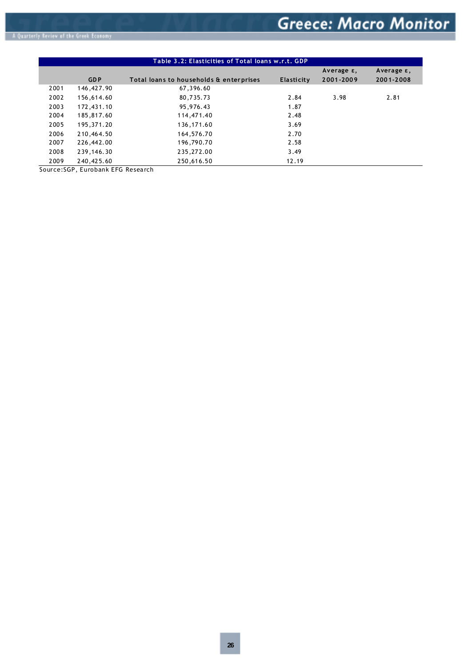|      |            | Table 3.2: Elasticities of Total loans w.r.t. GDP |            |            |               |
|------|------------|---------------------------------------------------|------------|------------|---------------|
|      |            |                                                   |            | Average ε, | Average $ε$ , |
|      | <b>GDP</b> | Total loans to households & enterprises           | Elasticity | 2001-2009  | 2001-2008     |
| 2001 | 146,427.90 | 67,396.60                                         |            |            |               |
| 2002 | 156,614.60 | 80,735.73                                         | 2.84       | 3.98       | 2.81          |
| 2003 | 172,431.10 | 95,976.43                                         | 1.87       |            |               |
| 2004 | 185,817.60 | 114,471.40                                        | 2.48       |            |               |
| 2005 | 195,371.20 | 136,171.60                                        | 3.69       |            |               |
| 2006 | 210,464.50 | 164,576.70                                        | 2.70       |            |               |
| 2007 | 226,442.00 | 196,790.70                                        | 2.58       |            |               |
| 2008 | 239,146.30 | 235,272.00                                        | 3.49       |            |               |
| 2009 | 240,425.60 | 250,616.50                                        | 12.19      |            |               |

Source:SGP, Eurobank EFG Research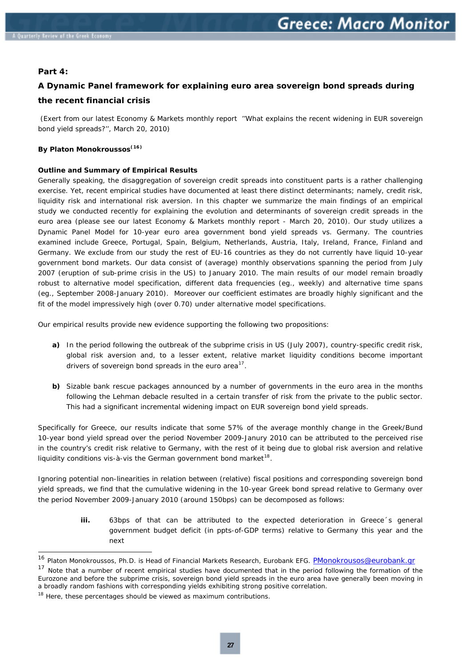#### <span id="page-25-0"></span>**Part 4:**

1

## **A Dynamic Panel framework for explaining euro area sovereign bond spreads during the recent financial crisis**

 *(Exert from our latest Economy & Markets monthly report ''What explains the recent widening in EUR sovereign bond yield spreads?'', March 20, 2010)* 

#### **By Platon Monokroussos**<sup>(16)</sup>

#### **Outline and Summary of Empirical Results**

Generally speaking, the disaggregation of sovereign credit spreads into constituent parts is a rather challenging exercise. Yet, recent empirical studies have documented at least there distinct determinants; namely, *credit risk, liquidity risk and international risk aversion.* In this chapter we summarize the main findings of an empirical study we conducted recently for explaining the evolution and determinants of sovereign credit spreads in the euro area *(please see our latest Economy & Markets monthly report - March 20, 2010)*. Our study utilizes a *Dynamic Panel Model* for 10-year euro area government bond yield spreads vs. Germany. The countries examined include Greece, Portugal, Spain, Belgium, Netherlands, Austria, Italy, Ireland, France, Finland and Germany. We exclude from our study the rest of EU-16 countries as they do not currently have liquid 10-year government bond markets. Our data consist of *(average)* monthly observations spanning the period from July 2007 *(eruption of sub-prime crisis in the US)* to January 2010. The main results of our model remain broadly robust to alternative model specification, different data frequencies (eg., weekly) and alternative time spans (eg., September 2008-January 2010). Moreover our coefficient estimates are broadly highly significant and the fit of the model impressively high (over 0.70) under alternative model specifications.

Our empirical results provide new evidence supporting the following two propositions:

- **a)** In the period following the outbreak of the subprime crisis in US (July 2007), country-specific credit risk, global risk aversion and, to a lesser extent, relative market liquidity conditions become important drivers of sovereign bond spreads in the euro area $^{17}$  $^{17}$  $^{17}$ .
- **b)** Sizable bank rescue packages announced by a number of governments in the euro area in the months following the Lehman debacle resulted in a certain transfer of risk from the private to the public sector. This had a significant incremental widening impact on EUR sovereign bond yield spreads.

Specifically for Greece, our results indicate that some 57% of the average monthly change in the Greek/Bund 10-year bond yield spread over the period November 2009-Janury 2010 can be attributed to the perceived rise in the country's credit risk relative to Germany, with the rest of it being due to global risk aversion and relative liquidity conditions *vis-à-vis* the German government bond market<sup>[18](#page-25-3)</sup>.

Ignoring potential non-linearities in relation between (relative) fiscal positions and corresponding sovereign bond yield spreads, we find that the cumulative widening in the 10-year Greek bond spread relative to Germany over the period November 2009-January 2010 (around 150bps) can be decomposed as follows:

> **iii.** 63bps of that can be attributed to the expected deterioration in Greece's general government budget deficit (in ppts-of-GDP terms) relative to Germany this year and the next

<sup>&</sup>lt;sup>16</sup> Platon Monokroussos, Ph.D. is Head of Financial Markets Research, Eurobank EFG. **[PMonokrousos@eurobank.gr](mailto:PMonokrousos@eurobank.gr)** 

<span id="page-25-2"></span><span id="page-25-1"></span><sup>&</sup>lt;sup>17</sup> Note that a number of recent empirical studies have documented that in the period following the formation of the Eurozone and before the subprime crisis, sovereign bond yield spreads in the euro area have generally been moving in a broadly random fashions with corresponding yields exhibiting strong positive correlation.<br><sup>18</sup> Here, these percentages should be viewed as maximum contributions.

<span id="page-25-3"></span>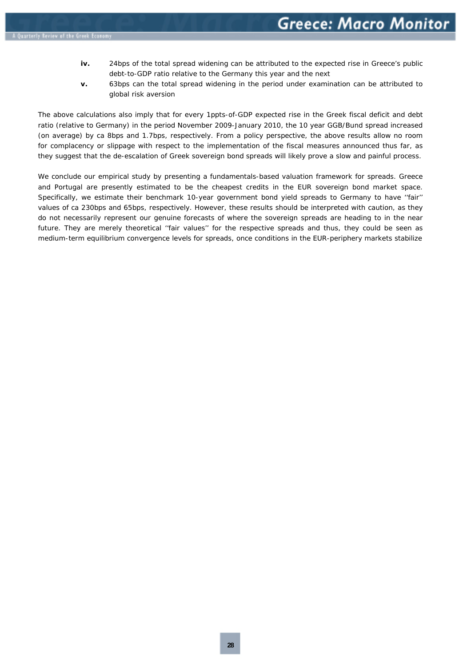- **iv.** 24bps of the total spread widening can be attributed to the expected rise in Greece's public debt-to-GDP ratio relative to the Germany this year and the next
- **v.** 63bps can the total spread widening in the period under examination can be attributed to global risk aversion

The above calculations also imply that for every 1ppts-of-GDP expected rise in the Greek fiscal deficit and debt ratio (relative to Germany) in the period November 2009-January 2010, the 10 year GGB/Bund spread increased (on average) by ca 8bps and 1.7bps, respectively. From a policy perspective, the above results allow no room for complacency or slippage with respect to the implementation of the fiscal measures announced thus far, as they suggest that the de-escalation of Greek sovereign bond spreads will likely prove a slow and painful process.

We conclude our empirical study by presenting a *fundamentals-based* valuation framework for spreads. Greece and Portugal are presently estimated to be the cheapest credits in the EUR sovereign bond market space. Specifically, we estimate their benchmark 10-year government bond yield spreads to Germany to have ''fair'' values of ca 230bps and 65bps, respectively. However, these results should be interpreted with caution, as they do not necessarily represent our genuine forecasts of where the sovereign spreads are heading to in the near future. They are merely theoretical ''fair values'' for the respective spreads and thus, they could be seen as medium-term equilibrium convergence levels for spreads, once conditions in the EUR-periphery markets stabilize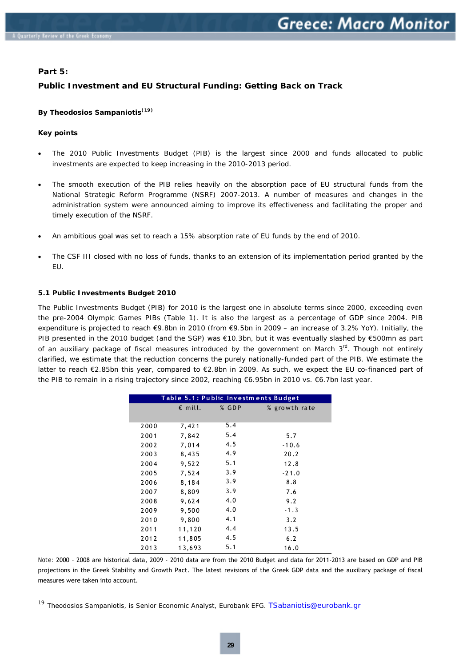#### <span id="page-27-0"></span>**Part 5:**

#### **Public Investment and EU Structural Funding: Getting Back on Track**

#### **By Theodosios Sampaniotis**<sup>(19)</sup>

#### **Key points**

-

- The 2010 Public Investments Budget (PIB) is the largest since 2000 and funds allocated to public investments are expected to keep increasing in the 2010-2013 period.
- The smooth execution of the PIB relies heavily on the absorption pace of EU structural funds from the National Strategic Reform Programme (NSRF) 2007-2013. A number of measures and changes in the administration system were announced aiming to improve its effectiveness and facilitating the proper and timely execution of the NSRF.
- An ambitious goal was set to reach a 15% absorption rate of EU funds by the end of 2010.
- The CSF III closed with no loss of funds, thanks to an extension of its implementation period granted by the EU.

#### **5.1 Public Investments Budget 2010**

The Public Investments Budget (PIB) for 2010 is the largest one in absolute terms since 2000, exceeding even the pre-2004 Olympic Games PIBs (Table 1). It is also the largest as a percentage of GDP since 2004. PIB expenditure is projected to reach €9.8bn in 2010 (from €9.5bn in 2009 – an increase of 3.2% YoY). Initially, the PIB presented in the 2010 budget (and the SGP) was €10.3bn, but it was eventually slashed by €500mn as part of an auxiliary package of fiscal measures introduced by the government on March  $3<sup>rd</sup>$ . Though not entirely clarified, we estimate that the reduction concerns the purely nationally-funded part of the PIB. We estimate the latter to reach €2.85bn this year, compared to €2.8bn in 2009. As such, we expect the EU co-financed part of the PIB to remain in a rising trajectory since 2002, reaching €6.95bn in 2010 vs. €6.7bn last year.

|      | Table 5.1: Public Investments Budget |       |               |
|------|--------------------------------------|-------|---------------|
|      | $\epsilon$ mill.                     | % GDP | % growth rate |
|      |                                      |       |               |
| 2000 | 7,421                                | 5.4   |               |
| 2001 | 7,842                                | 5.4   | 5.7           |
| 2002 | 7,014                                | 4.5   | $-10.6$       |
| 2003 | 8,435                                | 4.9   | 20.2          |
| 2004 | 9,522                                | 5.1   | 12.8          |
| 2005 | 7,524                                | 3.9   | $-21.0$       |
| 2006 | 8,184                                | 3.9   | 8.8           |
| 2007 | 8,809                                | 3.9   | 7.6           |
| 2008 | 9,624                                | 4.0   | 9.2           |
| 2009 | 9,500                                | 4.0   | $-1.3$        |
| 2010 | 9,800                                | 4.1   | 3.2           |
| 2011 | 11,120                               | 4.4   | 13.5          |
| 2012 | 11,805                               | 4.5   | 6.2           |
| 2013 | 13,693                               | 5.1   | 16.0          |

*Note:* 2000 – 2008 are historical data, 2009 - 2010 data are from the 2010 Budget and data for 2011-2013 are based on GDP and PIB projections in the Greek Stability and Growth Pact. The latest revisions of the Greek GDP data and the auxiliary package of fiscal measures were taken into account.

<span id="page-27-1"></span><sup>&</sup>lt;sup>19</sup> Theodosios Sampaniotis, is Senior Economic Analyst, Eurobank EFG. **[TSabaniotis@eurobank.gr](mailto:TSabaniotis@eurobank.gr)**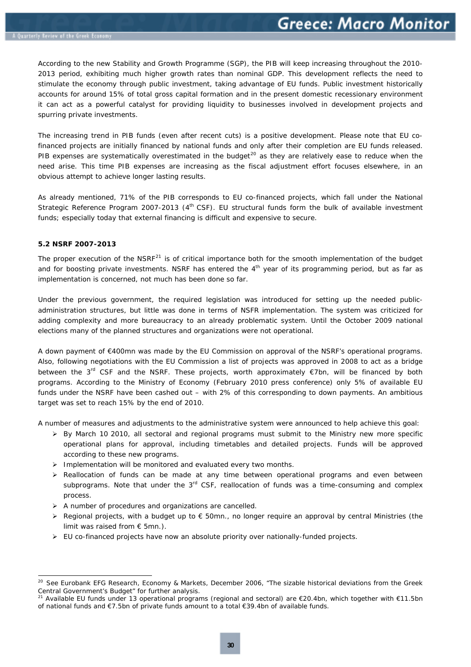<span id="page-28-0"></span>According to the new Stability and Growth Programme (SGP), the PIB will keep increasing throughout the 2010- 2013 period, exhibiting much higher growth rates than nominal GDP. This development reflects the need to stimulate the economy through public investment, taking advantage of EU funds. Public investment historically accounts for around 15% of total gross capital formation and in the present domestic recessionary environment it can act as a powerful catalyst for providing liquidity to businesses involved in development projects and spurring private investments.

The increasing trend in PIB funds (even after recent cuts) is a positive development. Please note that EU cofinanced projects are initially financed by national funds and only after their completion are EU funds released. PIB expenses are systematically overestimated in the budget<sup>[20](#page-28-1)</sup> as they are relatively ease to reduce when the need arise. This time PIB expenses are increasing as the fiscal adjustment effort focuses elsewhere, in an obvious attempt to achieve longer lasting results.

As already mentioned, 71% of the PIB corresponds to EU co-financed projects, which fall under the National Strategic Reference Program 2007-2013 ( $4<sup>th</sup>$  CSF). EU structural funds form the bulk of available investment funds; especially today that external financing is difficult and expensive to secure.

#### **5.2 NSRF 2007-2013**

1

The proper execution of the NSRF<sup>[21](#page-28-2)</sup> is of critical importance both for the smooth implementation of the budget and for boosting private investments. NSRF has entered the  $4<sup>th</sup>$  year of its programming period, but as far as implementation is concerned, not much has been done so far.

Under the previous government, the required legislation was introduced for setting up the needed publicadministration structures, but little was done in terms of NSFR implementation. The system was criticized for adding complexity and more bureaucracy to an already problematic system. Until the October 2009 national elections many of the planned structures and organizations were not operational.

A down payment of €400mn was made by the EU Commission on approval of the NSRF's operational programs. Also, following negotiations with the EU Commission a list of projects was approved in 2008 to act as a bridge between the  $3^{rd}$  CSF and the NSRF. These projects, worth approximately  $\epsilon$ 7bn, will be financed by both programs. According to the Ministry of Economy (February 2010 press conference) only 5% of available EU funds under the NSRF have been cashed out – with 2% of this corresponding to down payments. An ambitious target was set to reach 15% by the end of 2010.

A number of measures and adjustments to the administrative system were announced to help achieve this goal:

- $\triangleright$  By March 10 2010, all sectoral and regional programs must submit to the Ministry new more specific operational plans for approval, including timetables and detailed projects. Funds will be approved according to these new programs.
- $\triangleright$  Implementation will be monitored and evaluated every two months.
- $\triangleright$  Reallocation of funds can be made at any time between operational programs and even between subprograms. Note that under the  $3<sup>rd</sup>$  CSF, reallocation of funds was a time-consuming and complex process.
- $\triangleright$  A number of procedures and organizations are cancelled.
- $▶$  Regional projects, with a budget up to  $€$  50mn., no longer require an approval by central Ministries (the limit was raised from € 5mn.).
- $\triangleright$  EU co-financed projects have now an absolute priority over nationally-funded projects.

<span id="page-28-1"></span>See Eurobank EFG Research, Economy & Markets, December 2006, "The sizable historical deviations from the Greek Central Government's Budget" for further analysis.<br><sup>21</sup> Available EU funds under 13 operational programs (regional and sectoral) are €20.4bn, which together with €11.5bn

<span id="page-28-2"></span>of national funds and €7.5bn of private funds amount to a total €39.4bn of available funds.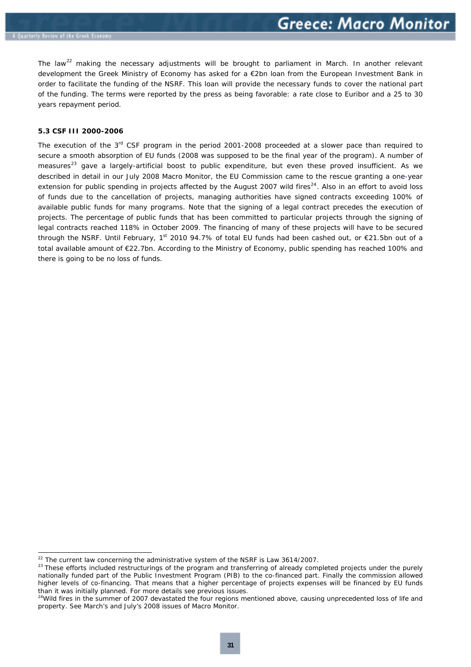<span id="page-29-0"></span>The law<sup>[22](#page-29-1)</sup> making the necessary adjustments will be brought to parliament in March. In another relevant development the Greek Ministry of Economy has asked for a €2bn loan from the European Investment Bank in order to facilitate the funding of the NSRF. This loan will provide the necessary funds to cover the national part of the funding. The terms were reported by the press as being favorable: a rate close to Euribor and a 25 to 30 years repayment period.

#### **5.3 CSF III 2000-2006**

The execution of the  $3<sup>rd</sup>$  CSF program in the period 2001-2008 proceeded at a slower pace than required to secure a smooth absorption of EU funds (2008 was supposed to be the final year of the program). A number of measures<sup>[23](#page-29-2)</sup> gave a largely-artificial boost to public expenditure, but even these proved insufficient. As we described in detail in our July 2008 Macro Monitor, the EU Commission came to the rescue granting a one-year extension for public spending in projects affected by the August 2007 wild fires $^{24}$  $^{24}$  $^{24}$ . Also in an effort to avoid loss of funds due to the cancellation of projects, managing authorities have signed contracts exceeding 100% of available public funds for many programs. Note that the signing of a legal contract precedes the execution of projects. The percentage of public funds that has been committed to particular projects through the signing of legal contracts reached 118% in October 2009. The financing of many of these projects will have to be secured through the NSRF. Until February, 1<sup>st</sup> 2010 94.7% of total EU funds had been cashed out, or  $\epsilon$ 21.5bn out of a total available amount of €22.7bn. According to the Ministry of Economy, public spending has reached 100% and there is going to be no loss of funds.

<span id="page-29-1"></span><sup>&</sup>lt;sup>22</sup> The current law concerning the administrative system of the NSRF is Law 3614/2007.

<span id="page-29-2"></span><sup>&</sup>lt;sup>23</sup> These efforts included restructurings of the program and transferring of already completed projects under the purely nationally funded part of the Public Investment Program (PIB) to the co-financed part. Finally the commission allowed higher levels of co-financing. That means that a higher percentage of projects expenses will be financed by EU funds than it was initially planned. For more details see previous issues.

<span id="page-29-3"></span><sup>&</sup>lt;sup>24</sup>Wild fires in the summer of 2007 devastated the four regions mentioned above, causing unprecedented loss of life and property. See March's and July's 2008 issues of Macro Monitor.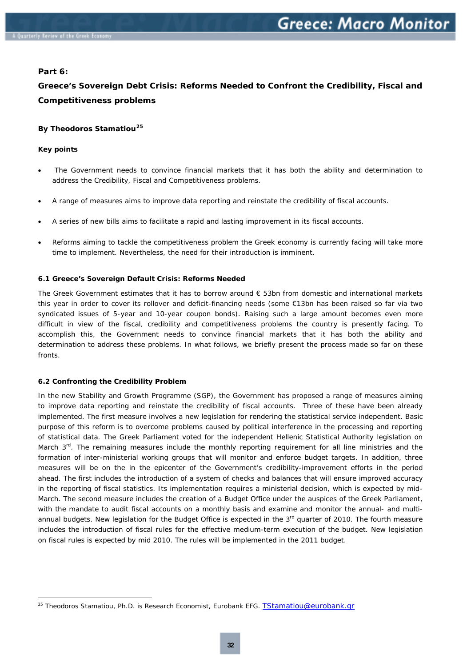#### <span id="page-30-0"></span>**Part 6:**

## **Greece's Sovereign Debt Crisis: Reforms Needed to Confront the Credibility, Fiscal and Competitiveness problems**

#### **By Theodoros Stamatiou[25](#page-30-1)**

#### **Key points**

ł

- The Government needs to convince financial markets that it has both the ability and determination to address the Credibility, Fiscal and Competitiveness problems.
- A range of measures aims to improve data reporting and reinstate the credibility of fiscal accounts.
- A series of new bills aims to facilitate a rapid and lasting improvement in its fiscal accounts.
- Reforms aiming to tackle the competitiveness problem the Greek economy is currently facing will take more time to implement. Nevertheless, the need for their introduction is imminent.

#### **6.1 Greece's Sovereign Default Crisis: Reforms Needed**

The Greek Government estimates that it has to borrow around  $\epsilon$  53bn from domestic and international markets this year in order to cover its rollover and deficit-financing needs (some €13bn has been raised so far via two syndicated issues of 5-year and 10-year coupon bonds). Raising such a large amount becomes even more difficult in view of the fiscal, credibility and competitiveness problems the country is presently facing. To accomplish this, the Government needs to convince financial markets that it has both the ability and determination to address these problems. In what follows, we briefly present the process made so far on these fronts.

#### **6.2 Confronting the Credibility Problem**

In the new Stability and Growth Programme (SGP), the Government has proposed a range of measures aiming to improve data reporting and reinstate the credibility of fiscal accounts. Three of these have been already implemented. The first measure involves a new legislation for rendering the statistical service independent. Basic purpose of this reform is to overcome problems caused by political interference in the processing and reporting of statistical data. The Greek Parliament voted for the independent Hellenic Statistical Authority legislation on March 3<sup>rd</sup>. The remaining measures include the monthly reporting requirement for all line ministries and the formation of inter-ministerial working groups that will monitor and enforce budget targets. In addition, three measures will be on the in the epicenter of the Government's credibility-improvement efforts in the period ahead. The first includes the introduction of a system of checks and balances that will ensure improved accuracy in the reporting of fiscal statistics. Its implementation requires a ministerial decision, which is expected by mid-March. The second measure includes the creation of a Budget Office under the auspices of the Greek Parliament, with the mandate to audit fiscal accounts on a monthly basis and examine and monitor the annual- and multiannual budgets. New legislation for the Budget Office is expected in the 3<sup>rd</sup> quarter of 2010. The fourth measure includes the introduction of fiscal rules for the effective medium-term execution of the budget. New legislation on fiscal rules is expected by mid 2010. The rules will be implemented in the 2011 budget.

<span id="page-30-1"></span><sup>&</sup>lt;sup>25</sup> Theodoros Stamatiou, Ph.D. is Research Economist, Eurobank EFG. **[TStamatiou@eurobank.gr](mailto:TStamatiou@eurobank.gr)**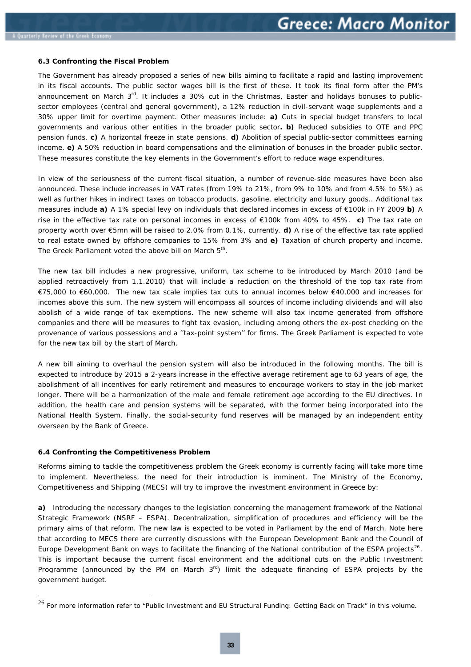#### <span id="page-31-0"></span>**6.3 Confronting the Fiscal Problem**

The Government has already proposed a series of new bills aiming to facilitate a rapid and lasting improvement in its fiscal accounts. The public sector wages bill is the first of these. It took its final form after the PM's announcement on March  $3^{rd}$ . It includes a 30% cut in the Christmas, Easter and holidays bonuses to publicsector employees (central and general government), a 12% reduction in civil-servant wage supplements and a 30% upper limit for overtime payment. Other measures include: **a)** Cuts in special budget transfers to local governments and various other entities in the broader public sector**. b)** Reduced subsidies to OTE and PPC pension funds. **c)** A horizontal freeze in state pensions. **d)** Abolition of special public-sector committees earning income. **e)** A 50% reduction in board compensations and the elimination of bonuses in the broader public sector. These measures constitute the key elements in the Government's effort to reduce wage expenditures.

In view of the seriousness of the current fiscal situation, a number of revenue-side measures have been also announced. These include increases in VAT rates (from 19% to 21%, from 9% to 10% and from 4.5% to 5%) as well as further hikes in indirect taxes on tobacco products, gasoline, electricity and luxury goods.. Additional tax measures include **a)** A 1% special levy on individuals that declared incomes in excess of €100k in FY 2009 **b)** A rise in the effective tax rate on personal incomes in excess of €100k from 40% to 45%. **c)** The tax rate on property worth over €5mn will be raised to 2.0% from 0.1%, currently. **d)** A rise of the effective tax rate applied to real estate owned by offshore companies to 15% from 3% and **e)** Taxation of church property and income. The Greek Parliament voted the above bill on March 5<sup>th</sup>.

The new tax bill includes a new progressive, uniform, tax scheme to be introduced by March 2010 (and be applied retroactively from 1.1.2010) that will include a reduction on the threshold of the top tax rate from €75,000 to €60,000. The new tax scale implies tax cuts to annual incomes below €40,000 and increases for incomes above this sum. The new system will encompass all sources of income including dividends and will also abolish of a wide range of tax exemptions. The new scheme will also tax income generated from offshore companies and there will be measures to fight tax evasion, including among others the ex-post checking on the provenance of various possessions and a ''tax-point system'' for firms. The Greek Parliament is expected to vote for the new tax bill by the start of March.

A new bill aiming to overhaul the pension system will also be introduced in the following months. The bill is expected to introduce by 2015 a 2-years increase in the effective average retirement age to 63 years of age, the abolishment of all incentives for early retirement and measures to encourage workers to stay in the job market longer. There will be a harmonization of the male and female retirement age according to the EU directives. In addition, the health care and pension systems will be separated, with the former being incorporated into the National Health System. Finally, the social-security fund reserves will be managed by an independent entity overseen by the Bank of Greece.

#### **6.4 Confronting the Competitiveness Problem**

-

Reforms aiming to tackle the competitiveness problem the Greek economy is currently facing will take more time to implement. Nevertheless, the need for their introduction is imminent. The Ministry of the Economy, Competitiveness and Shipping (MECS) will try to improve the investment environment in Greece by:

**a)** Introducing the necessary changes to the legislation concerning the management framework of the National Strategic Framework (NSRF – ESPA). Decentralization, simplification of procedures and efficiency will be the primary aims of that reform. The new law is expected to be voted in Parliament by the end of March. Note here that according to MECS there are currently discussions with the European Development Bank and the Council of Europe Development Bank on ways to facilitate the financing of the National contribution of the ESPA projects<sup>[26](#page-31-1)</sup>. This is important because the current fiscal environment and the additional cuts on the Public Investment Programme (announced by the PM on March  $3<sup>rd</sup>$ ) limit the adequate financing of ESPA projects by the government budget.

<span id="page-31-1"></span><sup>&</sup>lt;sup>26</sup> For more information refer to "Public Investment and EU Structural Funding: Getting Back on Track" in this volume.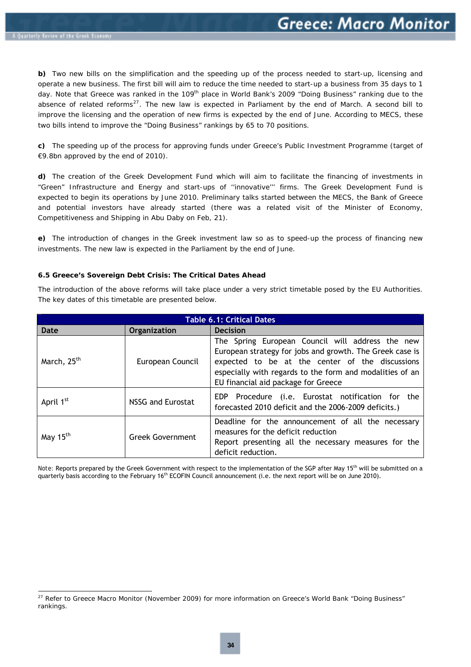1

<span id="page-32-0"></span>**b)** Two new bills on the simplification and the speeding up of the process needed to start-up, licensing and operate a new business. The first bill will aim to reduce the time needed to start-up a business from 35 days to 1 day. Note that Greece was ranked in the 109<sup>th</sup> place in World Bank's 2009 "Doing Business" ranking due to the absence of related reforms<sup>[27](#page-32-1)</sup>. The new law is expected in Parliament by the end of March. A second bill to improve the licensing and the operation of new firms is expected by the end of June. According to MECS, these two bills intend to improve the "Doing Business" rankings by 65 to 70 positions.

**c)** The speeding up of the process for approving funds under Greece's Public Investment Programme (target of €9.8bn approved by the end of 2010).

**d)** The creation of the Greek Development Fund which will aim to facilitate the financing of investments in "Green" Infrastructure and Energy and start-ups of ''innovative''' firms. The Greek Development Fund is expected to begin its operations by June 2010. Preliminary talks started between the MECS, the Bank of Greece and potential investors have already started (there was a related visit of the Minister of Economy, Competitiveness and Shipping in Abu Daby on Feb, 21).

**e)** The introduction of changes in the Greek investment law so as to speed-up the process of financing new investments. The new law is expected in the Parliament by the end of June.

#### **6.5 Greece's Sovereign Debt Crisis: The Critical Dates Ahead**

The introduction of the above reforms will take place under a very strict timetable posed by the EU Authorities. The key dates of this timetable are presented below.

| <b>Table 6.1: Critical Dates</b> |                         |                                                                                                                                                                                                                                                                    |  |
|----------------------------------|-------------------------|--------------------------------------------------------------------------------------------------------------------------------------------------------------------------------------------------------------------------------------------------------------------|--|
| Date                             | <b>Organization</b>     | <b>Decision</b>                                                                                                                                                                                                                                                    |  |
| March, 25 <sup>th</sup>          | European Council        | The Spring European Council will address the new<br>European strategy for jobs and growth. The Greek case is<br>expected to be at the center of the discussions<br>especially with regards to the form and modalities of an<br>EU financial aid package for Greece |  |
| April 1 <sup>st</sup>            | NSSG and Eurostat       | EDP Procedure (i.e. Eurostat notification for the<br>forecasted 2010 deficit and the 2006-2009 deficits.)                                                                                                                                                          |  |
| May 15 <sup>th</sup>             | <b>Greek Government</b> | Deadline for the announcement of all the necessary<br>measures for the deficit reduction<br>Report presenting all the necessary measures for the<br>deficit reduction.                                                                                             |  |

*Note:* Reports prepared by the Greek Government with respect to the implementation of the SGP after May 15th will be submitted on a quarterly basis according to the February  $16<sup>th</sup>$  ECOFIN Council announcement (i.e. the next report will be on June 2010).

<span id="page-32-1"></span><sup>&</sup>lt;sup>27</sup> Refer to Greece Macro Monitor (November 2009) for more information on Greece's World Bank "Doing Business" rankings.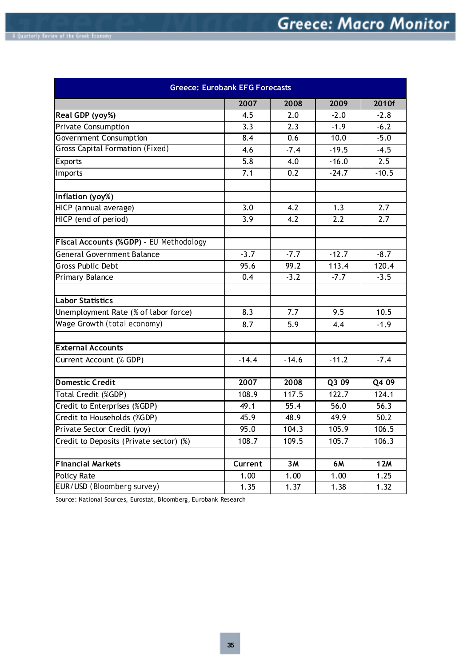| <b>Greece: Eurobank EFG Forecasts</b>   |                  |                  |                   |            |
|-----------------------------------------|------------------|------------------|-------------------|------------|
|                                         | 2007             | 2008             | 2009              | 2010f      |
| Real GDP (yoy%)                         | 4.5              | 2.0              | $-2.0$            | $-2.8$     |
| <b>Private Consumption</b>              | 3.3              | 2.3              | $-1.9$            | $-6.2$     |
| <b>Government Consumption</b>           | 8.4              | 0.6              | 10.0              | $-5.0$     |
| Gross Capital Formation (Fixed)         | 4.6              | $-7.4$           | $-19.5$           | $-4.5$     |
| Exports                                 | 5.8              | 4.0              | $-16.0$           | 2.5        |
| Imports                                 | 7.1              | $\overline{0.2}$ | $-24.7$           | $-10.5$    |
| Inflation (yoy%)                        |                  |                  |                   |            |
| HICP (annual average)                   | $\overline{3.0}$ | $\overline{4.2}$ | $\overline{1.3}$  | 2.7        |
| HICP (end of period)                    | 3.9              | 4.2              | 2.2               | 2.7        |
| Fiscal Accounts (%GDP) - EU Methodology |                  |                  |                   |            |
| <b>General Government Balance</b>       | $-3.7$           | $-7.7$           | $-12.7$           | $-8.7$     |
| <b>Gross Public Debt</b>                | 95.6             | 99.2             | 113.4             | 120.4      |
| Primary Balance                         | 0.4              | $-3.2$           | $-7.7$            | $-3.5$     |
| <b>Labor Statistics</b>                 |                  |                  |                   |            |
| Unemployment Rate (% of labor force)    | 8.3              | 7.7              | 9.5               | 10.5       |
| Wage Growth (total economy)             | 8.7              | 5.9              | 4.4               | $-1.9$     |
| <b>External Accounts</b>                |                  |                  |                   |            |
| Current Account (% GDP)                 | $-14.4$          | $-14.6$          | $-11.2$           | $-7.4$     |
| <b>Domestic Credit</b>                  | 2007             | 2008             | Q309              | Q4 09      |
| Total Credit (%GDP)                     | 108.9            | 117.5            | 122.7             | 124.1      |
| Credit to Enterprises (%GDP)            | 49.1             | 55.4             | 56.0              | 56.3       |
| Credit to Households (%GDP)             | 45.9             | 48.9             | 49.9              | 50.2       |
| Private Sector Credit (yoy)             | 95.0             | 104.3            | 105.9             | 106.5      |
| Credit to Deposits (Private sector) (%) | 108.7            | 109.5            | 105.7             | 106.3      |
|                                         |                  |                  |                   |            |
| <b>Financial Markets</b>                | Current          | 3M               | <b>6M</b>         | <b>12M</b> |
| <b>Policy Rate</b>                      | 1.00             | 1.00             | 1.00              | 1.25       |
| EUR/USD (Bloomberg survey)              | 1.35             | 1.37             | $\overline{1}.38$ | 1.32       |

Source: National Sources, Eurostat, Bloomberg, Eurobank Research